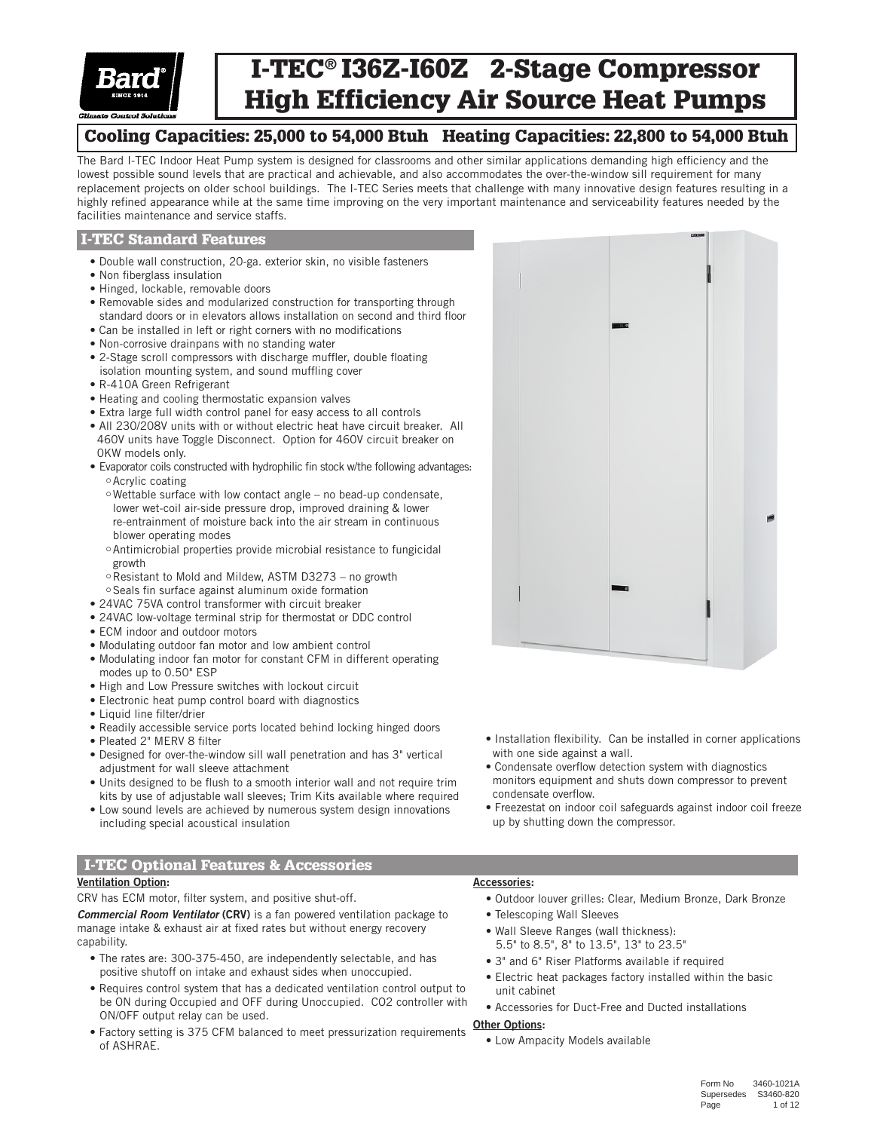

# I-TEC® I36Z-I60Z 2-Stage Compressor High Efficiency Air Source Heat Pumps

# Cooling Capacities: 25,000 to 54,000 Btuh Heating Capacities: 22,800 to 54,000 Btuh

The Bard I-TEC Indoor Heat Pump system is designed for classrooms and other similar applications demanding high efficiency and the lowest possible sound levels that are practical and achievable, and also accommodates the over-the-window sill requirement for many replacement projects on older school buildings. The I-TEC Series meets that challenge with many innovative design features resulting in a highly refined appearance while at the same time improving on the very important maintenance and serviceability features needed by the facilities maintenance and service staffs.

### I-TEC Standard Features

- Double wall construction, 20-ga. exterior skin, no visible fasteners
- Non fiberglass insulation
- Hinged, lockable, removable doors
- Removable sides and modularized construction for transporting through standard doors or in elevators allows installation on second and third floor
- Can be installed in left or right corners with no modifications
- Non-corrosive drainpans with no standing water
- 2-Stage scroll compressors with discharge muffler, double floating isolation mounting system, and sound muffling cover
- R-410A Green Refrigerant
- Heating and cooling thermostatic expansion valves
- Extra large full width control panel for easy access to all controls
- All 230/208V units with or without electric heat have circuit breaker. All 460V units have Toggle Disconnect. Option for 460V circuit breaker on 0KW models only.
- Evaporator coils constructed with hydrophilic fin stock w/the following advantages: Acrylic coating
	- Wettable surface with low contact angle no bead-up condensate, lower wet-coil air-side pressure drop, improved draining & lower re-entrainment of moisture back into the air stream in continuous blower operating modes
	- Antimicrobial properties provide microbial resistance to fungicidal growth
	- Resistant to Mold and Mildew, ASTM D3273 no growth Seals fin surface against aluminum oxide formation
- 24VAC 75VA control transformer with circuit breaker
- 24VAC low-voltage terminal strip for thermostat or DDC control
- ECM indoor and outdoor motors
- Modulating outdoor fan motor and low ambient control
- Modulating indoor fan motor for constant CFM in different operating modes up to 0.50" ESP
- High and Low Pressure switches with lockout circuit
- Electronic heat pump control board with diagnostics
- Liquid line filter/drier
- Readily accessible service ports located behind locking hinged doors
- Pleated 2" MERV 8 filter
- Designed for over-the-window sill wall penetration and has 3" vertical adjustment for wall sleeve attachment
- Units designed to be flush to a smooth interior wall and not require trim kits by use of adjustable wall sleeves; Trim Kits available where required
- Low sound levels are achieved by numerous system design innovations including special acoustical insulation

# I-TEC Optional Features & Accessories

### Ventilation Option:

CRV has ECM motor, filter system, and positive shut-off.

*Commercial Room Ventilator* (CRV) is a fan powered ventilation package to manage intake & exhaust air at fixed rates but without energy recovery capability.

- The rates are: 300-375-450, are independently selectable, and has positive shutoff on intake and exhaust sides when unoccupied.
- Requires control system that has a dedicated ventilation control output to be ON during Occupied and OFF during Unoccupied. CO2 controller with ON/OFF output relay can be used.
- Factory setting is 375 CFM balanced to meet pressurization requirements of ASHRAE.

- Installation flexibility. Can be installed in corner applications with one side against a wall.
- Condensate overflow detection system with diagnostics monitors equipment and shuts down compressor to prevent condensate overflow.
- Freezestat on indoor coil safeguards against indoor coil freeze up by shutting down the compressor.

### Accessories:

- Outdoor louver grilles: Clear, Medium Bronze, Dark Bronze
- Telescoping Wall Sleeves
- Wall Sleeve Ranges (wall thickness):
- 5.5" to 8.5", 8" to 13.5", 13" to 23.5"
- 3" and 6" Riser Platforms available if required
- Electric heat packages factory installed within the basic unit cabinet
- Accessories for Duct-Free and Ducted installations

### **Other Options:**

• Low Ampacity Models available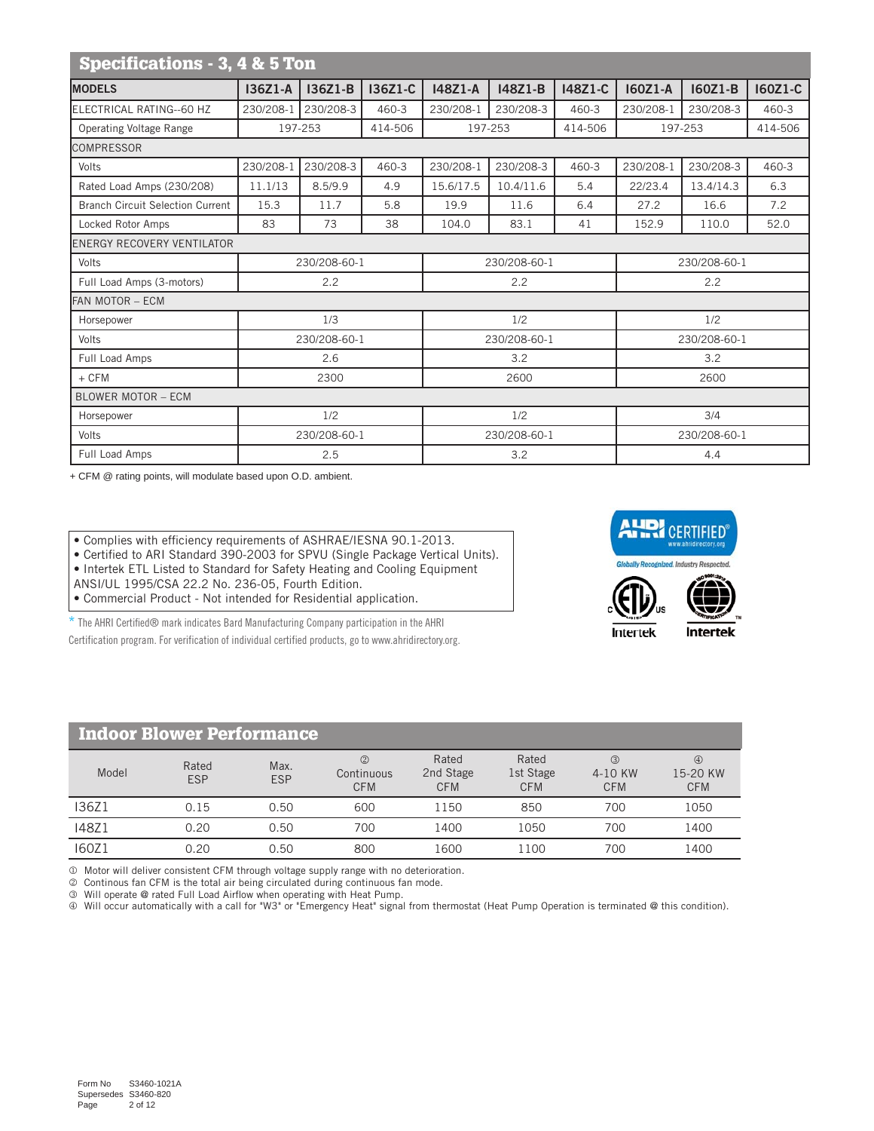| Specifications - 3, 4 & 5 Ton                                                                                      |           |              |         |           |              |         |           |              |         |  |  |  |
|--------------------------------------------------------------------------------------------------------------------|-----------|--------------|---------|-----------|--------------|---------|-----------|--------------|---------|--|--|--|
| <b>MODELS</b>                                                                                                      | 136Z1-A   | 136Z1-B      | 136Z1-C | 148Z1-A   | 148Z1-B      | 148Z1-C | 160Z1-A   | 160Z1-B      | 160Z1-C |  |  |  |
| ELECTRICAL RATING--60 HZ                                                                                           | 230/208-1 | 230/208-3    | 460-3   | 230/208-1 | 230/208-3    | 460-3   | 230/208-1 | 230/208-3    | 460-3   |  |  |  |
| <b>Operating Voltage Range</b>                                                                                     |           | 197-253      | 414-506 |           | 197-253      | 414-506 |           | 197-253      | 414-506 |  |  |  |
| <b>COMPRESSOR</b>                                                                                                  |           |              |         |           |              |         |           |              |         |  |  |  |
| 230/208-3<br>230/208-3<br>230/208-1<br>$460 - 3$<br>230/208-1<br>460-3<br>230/208-1<br>230/208-3<br>460-3<br>Volts |           |              |         |           |              |         |           |              |         |  |  |  |
| Rated Load Amps (230/208)                                                                                          | 11.1/13   | 8.5/9.9      | 4.9     | 15.6/17.5 | 10.4/11.6    | 5.4     | 22/23.4   | 13.4/14.3    | 6.3     |  |  |  |
| <b>Branch Circuit Selection Current</b>                                                                            | 15.3      | 11.7         | 5.8     | 19.9      | 11.6         | 6.4     | 27.2      | 16.6         | 7.2     |  |  |  |
| Locked Rotor Amps                                                                                                  | 83        | 73           | 38      | 104.0     | 83.1         | 41      | 152.9     | 110.0        | 52.0    |  |  |  |
| <b>ENERGY RECOVERY VENTILATOR</b>                                                                                  |           |              |         |           |              |         |           |              |         |  |  |  |
| Volts                                                                                                              |           | 230/208-60-1 |         |           | 230/208-60-1 |         |           | 230/208-60-1 |         |  |  |  |
| Full Load Amps (3-motors)                                                                                          |           | 2.2          |         |           | 2.2          |         | 2.2       |              |         |  |  |  |
| FAN MOTOR - ECM                                                                                                    |           |              |         |           |              |         |           |              |         |  |  |  |
| Horsepower                                                                                                         |           | 1/3          |         |           | 1/2          |         |           | 1/2          |         |  |  |  |
| Volts                                                                                                              |           | 230/208-60-1 |         |           | 230/208-60-1 |         |           | 230/208-60-1 |         |  |  |  |
| Full Load Amps                                                                                                     |           | 2.6          |         |           | 3.2          |         |           | 3.2          |         |  |  |  |
| $+$ CFM                                                                                                            |           | 2300         |         |           | 2600         |         |           | 2600         |         |  |  |  |
| <b>BLOWER MOTOR - ECM</b>                                                                                          |           |              |         |           |              |         |           |              |         |  |  |  |
| Horsepower                                                                                                         |           | 1/2          |         |           | 1/2          |         |           | 3/4          |         |  |  |  |
| Volts                                                                                                              |           | 230/208-60-1 |         |           | 230/208-60-1 |         |           | 230/208-60-1 |         |  |  |  |
| Full Load Amps                                                                                                     |           | 2.5          |         |           | 3.2          |         | 4.4       |              |         |  |  |  |

+ CFM @ rating points, will modulate based upon O.D. ambient.

• Complies with efficiency requirements of ASHRAE/IESNA 90.1-2013.

• Certified to ARI Standard 390-2003 for SPVU (Single Package Vertical Units).

• Intertek ETL Listed to Standard for Safety Heating and Cooling Equipment

ANSI/UL 1995/CSA 22.2 No. 236-05, Fourth Edition.

• Commercial Product - Not intended for Residential application.

\* The AHRI Certified® mark indicates Bard Manufacturing Company participation in the AHRI Certification program. For verification of individual certified products, go to www.ahridirectory.org.







| <b>Indoor Blower Performance</b> |                     |                    |                                 |                                  |                                  |                                        |                                         |  |  |  |  |  |  |
|----------------------------------|---------------------|--------------------|---------------------------------|----------------------------------|----------------------------------|----------------------------------------|-----------------------------------------|--|--|--|--|--|--|
| Model                            | Rated<br><b>ESP</b> | Max.<br><b>ESP</b> | (2)<br>Continuous<br><b>CFM</b> | Rated<br>2nd Stage<br><b>CFM</b> | Rated<br>1st Stage<br><b>CFM</b> | $\circled{3}$<br>4-10 KW<br><b>CFM</b> | $\circled{4}$<br>15-20 KW<br><b>CFM</b> |  |  |  |  |  |  |
| I36Z1                            | 0.15                | 0.50               | 600                             | 1150                             | 850                              | 700                                    | 1050                                    |  |  |  |  |  |  |
| 148Z1                            | 0.20                | 0.50               | 700                             | 1400                             | 1050                             | 700                                    | 1400                                    |  |  |  |  |  |  |
| 160Z1                            | 0.20                | 0.50               | 800                             | 1600                             | 1100                             | 700                                    | 1400                                    |  |  |  |  |  |  |

 $\textcircled{1}$  Motor will deliver consistent CFM through voltage supply range with no deterioration.

Continous fan CFM is the total air being circulated during continuous fan mode.

Will operate @ rated Full Load Airflow when operating with Heat Pump.

Will occur automatically with a call for "W3" or "Emergency Heat" signal from thermostat (Heat Pump Operation is terminated @ this condition).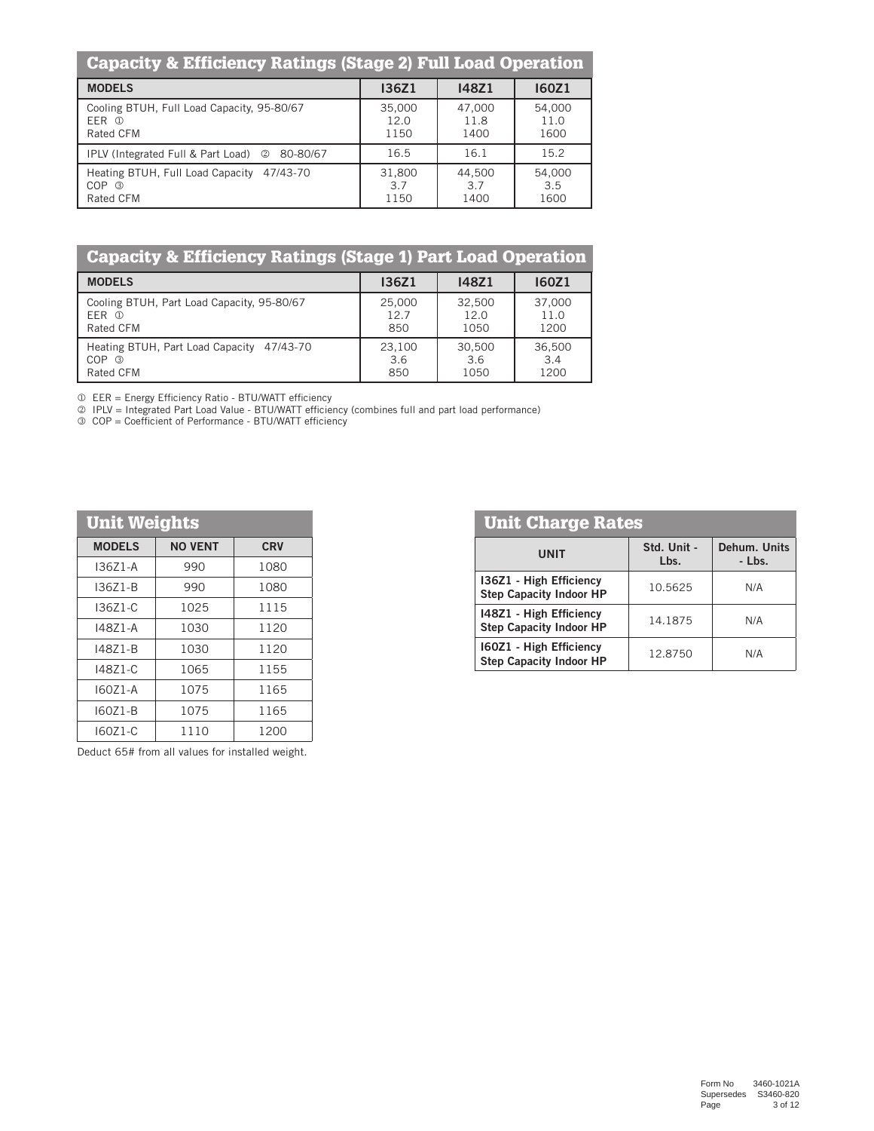| <b>Capacity &amp; Efficiency Ratings (Stage 2) Full Load Operation</b>        |                        |                        |                        |  |  |  |  |  |  |  |  |  |
|-------------------------------------------------------------------------------|------------------------|------------------------|------------------------|--|--|--|--|--|--|--|--|--|
| <b>MODELS</b>                                                                 | <b>I36Z1</b>           | 148Z1                  | <b>160Z1</b>           |  |  |  |  |  |  |  |  |  |
| Cooling BTUH, Full Load Capacity, 95-80/67<br>EER ①<br>Rated CFM              | 35,000<br>12.0<br>1150 | 47.000<br>11.8<br>1400 | 54,000<br>11.0<br>1600 |  |  |  |  |  |  |  |  |  |
| IPLV (Integrated Full & Part Load) 2<br>80-80/67                              | 16.5                   | 16.1                   | 15.2                   |  |  |  |  |  |  |  |  |  |
| Heating BTUH, Full Load Capacity<br>47/43-70<br>$COP$ $\circled$<br>Rated CFM | 31,800<br>3.7<br>1150  | 44,500<br>3.7<br>1400  | 54,000<br>3.5<br>1600  |  |  |  |  |  |  |  |  |  |

| <b>Capacity &amp; Efficiency Ratings (Stage 1) Part Load Operation</b> |              |              |                  |  |  |  |  |  |  |  |  |
|------------------------------------------------------------------------|--------------|--------------|------------------|--|--|--|--|--|--|--|--|
| <b>MODELS</b>                                                          | <b>I36Z1</b> | <b>I48Z1</b> | <b>160Z1</b>     |  |  |  |  |  |  |  |  |
| Cooling BTUH, Part Load Capacity, 95-80/67                             | 25,000       | 32,500       | 37,000           |  |  |  |  |  |  |  |  |
| $FFR$ $\Omega$                                                         | 12.7         | 12.0         | 11.0             |  |  |  |  |  |  |  |  |
| Rated CFM                                                              | 850          | 1050         | 1200             |  |  |  |  |  |  |  |  |
| Heating BTUH, Part Load Capacity 47/43-70                              | 23.100       | 30,500       | 36,500           |  |  |  |  |  |  |  |  |
| $COP$ $\circled{3}$                                                    | 3.6          | 3.6          | $\overline{3.4}$ |  |  |  |  |  |  |  |  |
| Rated CFM                                                              | 850          | 1050         | 1200             |  |  |  |  |  |  |  |  |

EER = Energy Efficiency Ratio - BTU/WATT efficiency

IPLV = Integrated Part Load Value - BTU/WATT efficiency (combines full and part load performance)

COP = Coefficient of Performance - BTU/WATT efficiency

| <b>Unit Weights</b> |                |            |  |  |  |  |  |  |  |  |  |  |
|---------------------|----------------|------------|--|--|--|--|--|--|--|--|--|--|
| <b>MODELS</b>       | <b>NO VENT</b> | <b>CRV</b> |  |  |  |  |  |  |  |  |  |  |
| $13671 - A$         | 990            | 1080       |  |  |  |  |  |  |  |  |  |  |
| 136Z1-B             | 990            | 1080       |  |  |  |  |  |  |  |  |  |  |
| I3671-C             | 1025           | 1115       |  |  |  |  |  |  |  |  |  |  |
| 14871-A             | 1030           | 1120       |  |  |  |  |  |  |  |  |  |  |
| 148Z1-B             | 1030           | 1120       |  |  |  |  |  |  |  |  |  |  |
| 14871-C             | 1065           | 1155       |  |  |  |  |  |  |  |  |  |  |
| I6071-A             | 1075           | 1165       |  |  |  |  |  |  |  |  |  |  |
| $160Z1-B$           | 1075           | 1165       |  |  |  |  |  |  |  |  |  |  |
| 160Z1-C             | 1110           | 1200       |  |  |  |  |  |  |  |  |  |  |

Deduct 65# from all values for installed weight.

| <b>Unit Charge Rates</b>                                  |                     |                        |  |  |  |  |  |  |  |  |  |
|-----------------------------------------------------------|---------------------|------------------------|--|--|--|--|--|--|--|--|--|
| <b>UNIT</b>                                               | Std. Unit -<br>Lbs. | Dehum. Units<br>- Lbs. |  |  |  |  |  |  |  |  |  |
| 136Z1 - High Efficiency<br><b>Step Capacity Indoor HP</b> | 10.5625             | N/A                    |  |  |  |  |  |  |  |  |  |
| 148Z1 - High Efficiency<br><b>Step Capacity Indoor HP</b> | 14.1875             | N/A                    |  |  |  |  |  |  |  |  |  |
| 160Z1 - High Efficiency<br><b>Step Capacity Indoor HP</b> | 12.8750             | N/A                    |  |  |  |  |  |  |  |  |  |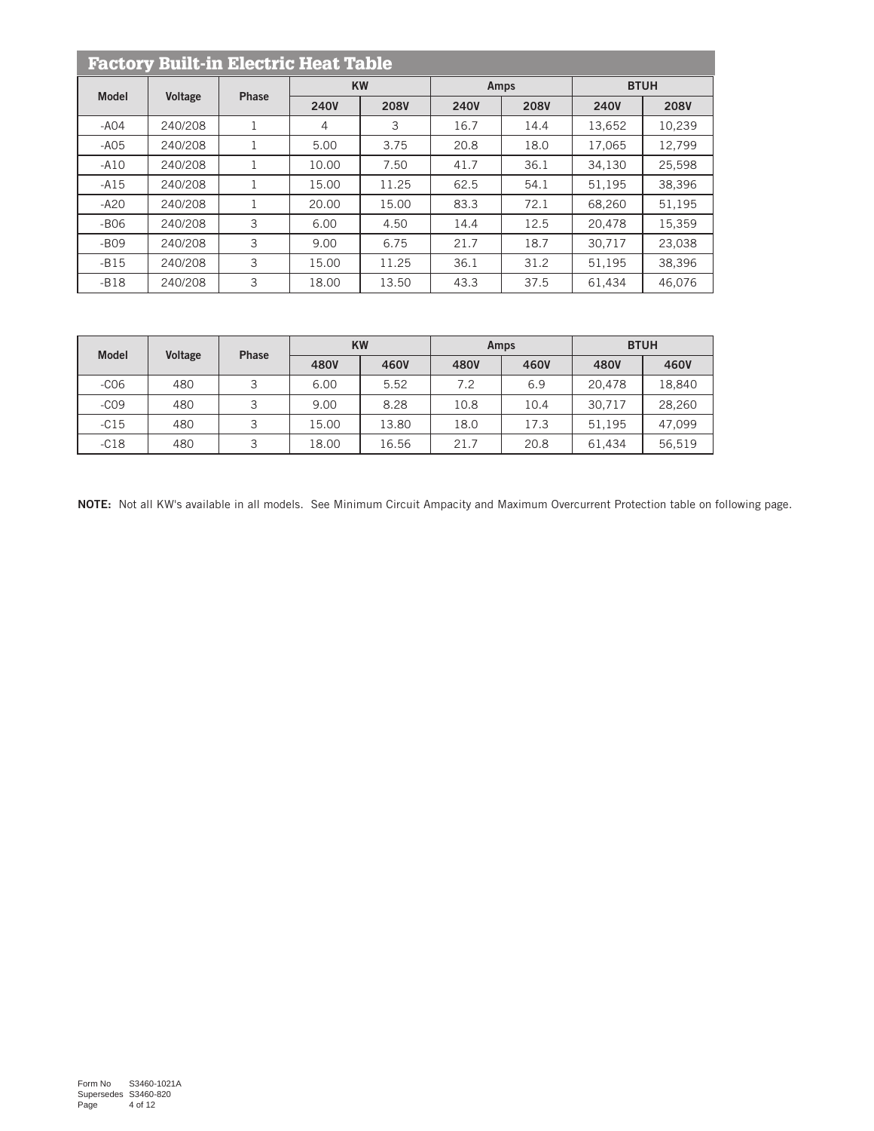| <b>Factory Built-in Electric Heat Table</b> |                |              |             |             |             |             |             |             |  |  |  |  |
|---------------------------------------------|----------------|--------------|-------------|-------------|-------------|-------------|-------------|-------------|--|--|--|--|
| <b>Model</b>                                | <b>Voltage</b> | <b>Phase</b> |             | <b>KW</b>   |             | Amps        | <b>BTUH</b> |             |  |  |  |  |
|                                             |                |              | <b>240V</b> | <b>208V</b> | <b>240V</b> | <b>208V</b> | <b>240V</b> | <b>208V</b> |  |  |  |  |
| $-AO4$                                      | 240/208        |              | 4           | 3           | 16.7        | 14.4        | 13,652      | 10,239      |  |  |  |  |
| $-AO5$                                      | 240/208        | Τ.           | 5.00        | 3.75        | 20.8        | 18.0        | 17.065      | 12.799      |  |  |  |  |
| $-A10$                                      | 240/208        |              | 10.00       | 7.50        | 41.7        | 36.1        | 34.130      | 25,598      |  |  |  |  |
| $-A15$                                      | 240/208        |              | 15.00       | 11.25       | 62.5        | 54.1        | 51.195      | 38.396      |  |  |  |  |
| $-A20$                                      | 240/208        |              | 20.00       | 15.00       | 83.3        | 72.1        | 68.260      | 51.195      |  |  |  |  |
| $-B06$                                      | 240/208        | 3            | 6.00        | 4.50        | 14.4        | 12.5        | 20.478      | 15.359      |  |  |  |  |
| $-B09$                                      | 240/208        | 3            | 9.00        | 6.75        | 21.7        | 18.7        | 30.717      | 23.038      |  |  |  |  |
| $-B15$                                      | 240/208        | 3            | 15.00       | 11.25       | 36.1        | 31.2        | 51.195      | 38,396      |  |  |  |  |
| $-B18$                                      | 240/208        | 3            | 18.00       | 13.50       | 43.3        | 37.5        | 61.434      | 46.076      |  |  |  |  |

| <b>Model</b> | Voltage | <b>Phase</b> |       | <b>KW</b> |      | Amps | <b>BTUH</b> |        |  |
|--------------|---------|--------------|-------|-----------|------|------|-------------|--------|--|
|              |         |              | 480V  | 460V      | 480V | 460V | 480V        | 460V   |  |
| $-C06$       | 480     |              | 6.00  | 5.52      | 7.2  | 6.9  | 20.478      | 18.840 |  |
| $-CO9$       | 480     | $\mathbf{z}$ | 9.00  | 8.28      | 10.8 | 10.4 | 30.717      | 28,260 |  |
| $-C15$       | 480     | ₹            | 15.00 | 13.80     | 18.0 | 17.3 | 51.195      | 47.099 |  |
| $-C18$       | 480     | ₽            | 18.00 | 16.56     | 21.7 | 20.8 | 61.434      | 56.519 |  |

NOTE: Not all KW's available in all models. See Minimum Circuit Ampacity and Maximum Overcurrent Protection table on following page.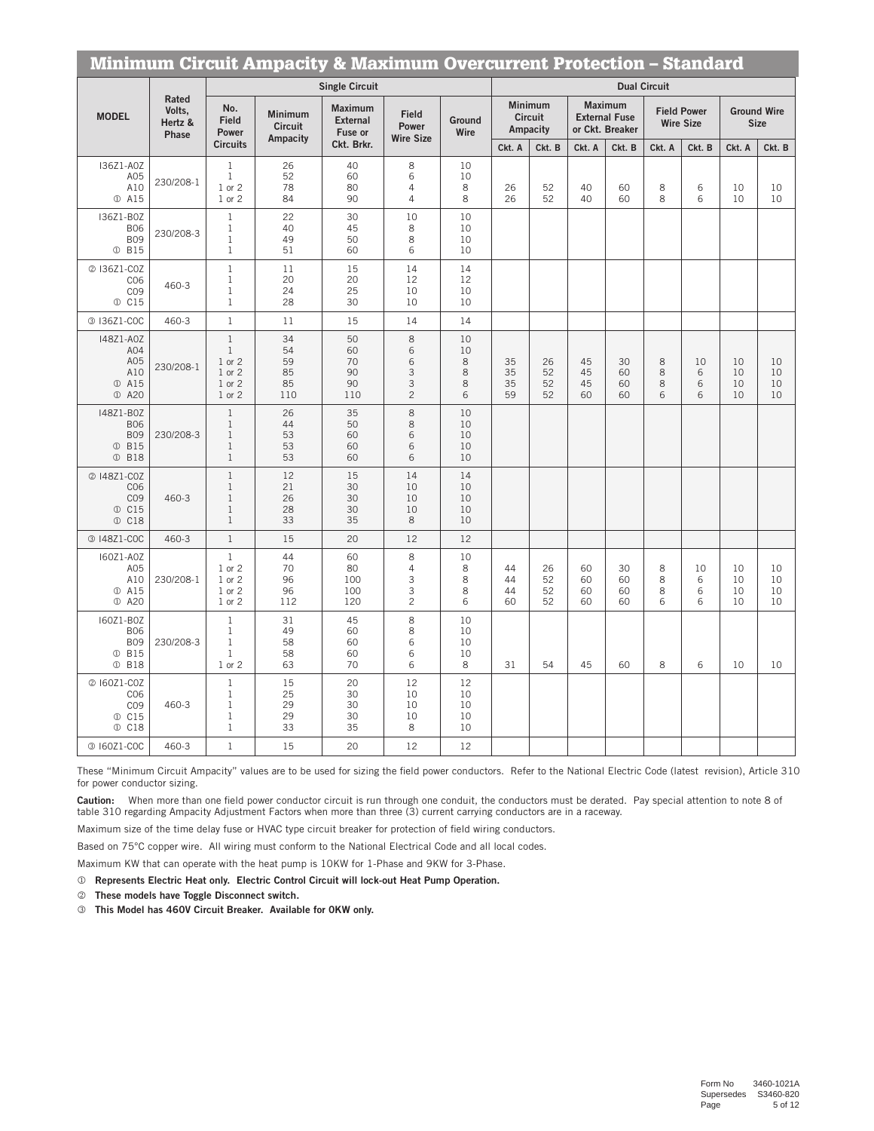|                                                                                                      | <b>Minimum Circuit Ampacity &amp; Maximum Overcurrent Protection - Standard</b> |                                                                              |                                              |                                                            |                                                 |                                    |                      |                                                        |                      |                                                                     |                     |                                                  |                      |                                             |
|------------------------------------------------------------------------------------------------------|---------------------------------------------------------------------------------|------------------------------------------------------------------------------|----------------------------------------------|------------------------------------------------------------|-------------------------------------------------|------------------------------------|----------------------|--------------------------------------------------------|----------------------|---------------------------------------------------------------------|---------------------|--------------------------------------------------|----------------------|---------------------------------------------|
|                                                                                                      |                                                                                 |                                                                              |                                              | <b>Single Circuit</b>                                      |                                                 |                                    |                      |                                                        |                      |                                                                     | <b>Dual Circuit</b> |                                                  |                      |                                             |
| <b>MODEL</b>                                                                                         | <b>Rated</b><br>Volts,<br>Hertz &<br><b>Phase</b>                               | No.<br><b>Field</b><br>Power<br><b>Circuits</b>                              | Minimum<br><b>Circuit</b><br><b>Ampacity</b> | <b>Maximum</b><br><b>External</b><br>Fuse or<br>Ckt. Brkr. | <b>Field</b><br>Power<br><b>Wire Size</b>       | Ground<br>Wire                     | Ckt. A               | <b>Minimum</b><br><b>Circuit</b><br>Ampacity<br>Ckt. B | Ckt. A               | <b>Maximum</b><br><b>External Fuse</b><br>or Ckt. Breaker<br>Ckt. B | Ckt. A              | <b>Field Power</b><br><b>Wire Size</b><br>Ckt. B | Ckt. A               | <b>Ground Wire</b><br><b>Size</b><br>Ckt. B |
| 136Z1-A0Z<br>A05<br>A10<br>1 A15                                                                     | 230/208-1                                                                       | $\mathbf{1}$<br>$1\,$<br>1 or 2<br>1 or 2                                    | 26<br>52<br>78<br>84                         | 40<br>60<br>80<br>90                                       | 8<br>6<br>4<br>4                                | 10<br>10<br>8<br>8                 | 26<br>26             | 52<br>52                                               | 40<br>40             | 60<br>60                                                            | 8<br>8              | 6<br>6                                           | 10<br>10             | 10<br>10                                    |
| 136Z1-B0Z<br><b>B06</b><br><b>B09</b><br><b>0 B15</b>                                                | 230/208-3                                                                       | $\mathbf{1}$<br>$\mathbf{1}$<br>$\mathbf{1}$<br>$\mathbf{1}$                 | 22<br>40<br>49<br>51                         | 30<br>45<br>50<br>60                                       | 10<br>8<br>8<br>6                               | 10<br>10<br>10<br>10               |                      |                                                        |                      |                                                                     |                     |                                                  |                      |                                             |
| 2 136Z1-COZ<br>CO6<br>CO <sub>9</sub><br>1 C15                                                       | 460-3                                                                           | $\mathbf{1}$<br>$\mathbf{1}$<br>$\mathbf{1}$<br>$\mathbf{1}$                 | 11<br>20<br>24<br>28                         | 15<br>20<br>25<br>30                                       | 14<br>12<br>10<br>10                            | 14<br>12<br>10<br>10               |                      |                                                        |                      |                                                                     |                     |                                                  |                      |                                             |
| 3 136Z1-COC                                                                                          | 460-3                                                                           | $1\,$                                                                        | 11                                           | 15                                                         | 14                                              | 14                                 |                      |                                                        |                      |                                                                     |                     |                                                  |                      |                                             |
| 148Z1-A0Z<br>A04<br>A05<br>A10<br><b>15</b> 415<br><b>1</b> A20                                      | 230/208-1                                                                       | $\mathbf{1}$<br>$\mathbf{1}$<br>1 or 2<br>1 or 2<br>1 or 2<br>1 or 2         | 34<br>54<br>59<br>85<br>85<br>110            | 50<br>60<br>70<br>90<br>90<br>110                          | 8<br>6<br>6<br>3<br>3<br>$\overline{c}$         | 10<br>10<br>$\,8\,$<br>8<br>8<br>6 | 35<br>35<br>35<br>59 | 26<br>52<br>52<br>52                                   | 45<br>45<br>45<br>60 | 30<br>60<br>60<br>60                                                | 8<br>8<br>8<br>6    | 10<br>6<br>6<br>6                                | 10<br>10<br>10<br>10 | 10<br>10<br>10<br>10                        |
| 148Z1-B0Z<br><b>B06</b><br><b>B09</b><br>$^{\textcircled{\tiny 1}}$<br><b>B15</b><br><b>18</b> D B18 | 230/208-3                                                                       | $\mathbf{1}$<br>$\mathbf{1}$<br>$\mathbf{1}$<br>$\mathbf{1}$<br>$\mathbf{1}$ | 26<br>44<br>53<br>53<br>53                   | 35<br>50<br>60<br>60<br>60                                 | 8<br>8<br>6<br>6<br>6                           | 10<br>10<br>10<br>10<br>10         |                      |                                                        |                      |                                                                     |                     |                                                  |                      |                                             |
| @ 148Z1-COZ<br>CO6<br>CO <sub>9</sub><br>1 C15<br>1 C18                                              | 460-3                                                                           | $\mathbf{1}$<br>$\mathbf{1}$<br>$\mathbf{1}$<br>$\mathbf{1}$<br>$\mathbf{1}$ | 12<br>21<br>26<br>28<br>33                   | 15<br>30<br>30<br>30<br>35                                 | 14<br>10<br>10<br>10<br>8                       | 14<br>10<br>10<br>10<br>10         |                      |                                                        |                      |                                                                     |                     |                                                  |                      |                                             |
| 3 148Z1-COC                                                                                          | 460-3                                                                           | $\mathbf{1}$                                                                 | 15                                           | 20                                                         | 12                                              | 12                                 |                      |                                                        |                      |                                                                     |                     |                                                  |                      |                                             |
| 160Z1-A0Z<br>A05<br>A10<br>1 A15<br><b>1</b> A20                                                     | 230/208-1                                                                       | $\mathbf{1}$<br>1 or 2<br>1 or 2<br>1 or 2<br>1 or 2                         | 44<br>70<br>96<br>96<br>112                  | 60<br>80<br>100<br>100<br>120                              | 8<br>$\overline{4}$<br>3<br>3<br>$\overline{c}$ | 10<br>8<br>8<br>8<br>6             | 44<br>44<br>44<br>60 | 26<br>52<br>52<br>52                                   | 60<br>60<br>60<br>60 | 30<br>60<br>60<br>60                                                | 8<br>8<br>8<br>6    | 10<br>6<br>6<br>6                                | 10<br>10<br>10<br>10 | 10<br>10<br>10<br>10                        |
| 160Z1-B0Z<br><b>B06</b><br><b>B09</b><br><b>1</b> B15<br><b>18</b> B18                               | 230/208-3                                                                       | $1\,$<br>$\mathbf 1$<br>$\mathbf{1}$<br>$\mathbf{1}$<br>1 or 2               | 31<br>49<br>58<br>58<br>63                   | 45<br>60<br>60<br>60<br>70                                 | 8<br>8<br>6<br>6<br>6                           | 10<br>10<br>10<br>10<br>8          | 31                   | 54                                                     | 45                   | 60                                                                  | 8                   | 6                                                | 10                   | 10                                          |
| @ 160Z1-COZ<br>CO6<br>CO <sub>9</sub><br>1 C15<br>1 C18                                              | 460-3                                                                           | $\mathbf{1}$<br>$\mathbf{1}$<br>$\mathbf{1}$<br>$\mathbf{1}$<br>$\mathbf{1}$ | 15<br>25<br>29<br>29<br>33                   | 20<br>30<br>30<br>30<br>35                                 | 12<br>10<br>10<br>10<br>8                       | 12<br>10<br>10<br>10<br>10         |                      |                                                        |                      |                                                                     |                     |                                                  |                      |                                             |
| 3 160Z1-COC                                                                                          | 460-3                                                                           | $\mathbf{1}$                                                                 | 15                                           | 20                                                         | 12                                              | 12                                 |                      |                                                        |                      |                                                                     |                     |                                                  |                      |                                             |

These "Minimum Circuit Ampacity" values are to be used for sizing the field power conductors. Refer to the National Electric Code (latest revision), Article 310 for power conductor sizing.

Caution: When more than one field power conductor circuit is run through one conduit, the conductors must be derated. Pay special attention to note 8 of table 310 regarding Ampacity Adjustment Factors when more than three (3) current carrying conductors are in a raceway.

Maximum size of the time delay fuse or HVAC type circuit breaker for protection of field wiring conductors.

Based on 75°C copper wire. All wiring must conform to the National Electrical Code and all local codes.

Maximum KW that can operate with the heat pump is 10KW for 1-Phase and 9KW for 3-Phase.

- Represents Electric Heat only. Electric Control Circuit will lock-out Heat Pump Operation.
- $@$  These models have Toggle Disconnect switch.
- l This Model has 460V Circuit Breaker. Available for 0KW only.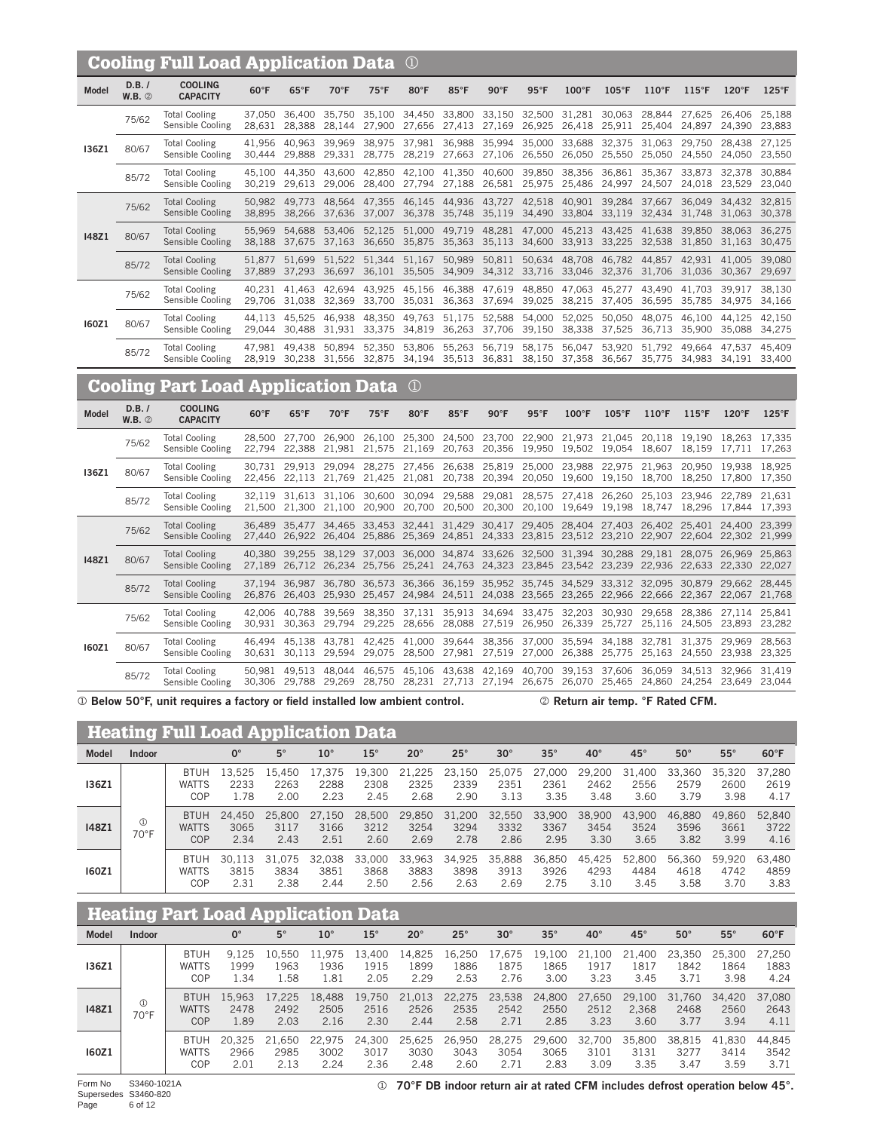|                                           |                         | <b>Cooling Full Load Application Data</b> |                  | $\Omega$                       |                  |                                                                                               |                                       |                                                                   |                  |                      |                      |                                                                                                                                                                                                        |                         |                      |                                              |                                |
|-------------------------------------------|-------------------------|-------------------------------------------|------------------|--------------------------------|------------------|-----------------------------------------------------------------------------------------------|---------------------------------------|-------------------------------------------------------------------|------------------|----------------------|----------------------|--------------------------------------------------------------------------------------------------------------------------------------------------------------------------------------------------------|-------------------------|----------------------|----------------------------------------------|--------------------------------|
| <b>Model</b>                              | D.B. /<br>$W.B.$ $@$    | <b>COOLING</b><br><b>CAPACITY</b>         | $60^{\circ}$ F   | $65^{\circ}$ F                 | 70°F             | $75^{\circ}$ F                                                                                | 80°F                                  | 85°F                                                              | 90°F             | $95^{\circ}$ F       | $100^{\circ}$ F      | $105^{\circ}F$                                                                                                                                                                                         | 110°F                   | $115^{\circ}F$       | $120^{\circ}F$                               | $125^{\circ}F$                 |
|                                           | 75/62                   | <b>Total Cooling</b><br>Sensible Cooling  | 37,050<br>28,631 | 36,400<br>28,388               | 35,750<br>28,144 | 35,100                                                                                        |                                       | 34,450 33,800                                                     | 33,150           | 32,500               | 31,281               | 30,063<br>27,900 27,656 27,413 27,169 26,925 26,418 25,911 25,404                                                                                                                                      | 28,844                  | 27,625<br>24,897     |                                              | 26,406 25,188<br>24,390 23,883 |
| 136Z1                                     | 80/67                   | <b>Total Cooling</b><br>Sensible Cooling  | 41,956<br>30,444 | 40,963<br>29,888               | 39,969<br>29,331 | 38,975<br>28,775                                                                              |                                       | 37,981 36,988<br>28,219 27,663 27,106 26,550                      |                  | 35,994 35,000 33,688 | 26,050               | 32,375<br>25,550                                                                                                                                                                                       | 31,063<br>25,050        | 29,750<br>24,550     | 28,438                                       | 27,125<br>24,050 23,550        |
|                                           | 85/72                   | <b>Total Cooling</b><br>Sensible Cooling  | 45.100<br>30,219 | 44.350<br>29,613               | 43,600<br>29,006 | 42,850<br>28,400                                                                              | 27,794                                | 42,100 41,350<br>27,188                                           | 40,600<br>26,581 | 39,850<br>25,975     | 38,356<br>25,486     | 36,861<br>24,997                                                                                                                                                                                       | 35,367<br>24,507        | 33,873<br>24,018     | 32,378<br>23,529                             | 30,884<br>23,040               |
|                                           | 75/62                   | <b>Total Cooling</b><br>Sensible Cooling  | 50.982<br>38,895 | 49,773<br>38,266               | 48,564<br>37,636 | 47,355 46,145 44,936 43,727 42,518 40,901 39,284<br>37,007 36,378 35,748 35,119 34,490 33,804 |                                       |                                                                   |                  |                      |                      |                                                                                                                                                                                                        | 37,667<br>33,119 32,434 | 36,049<br>31,748     | 34,432 32,815<br>31,063 30,378               |                                |
| <b>I48Z1</b>                              | 80/67                   | <b>Total Cooling</b><br>Sensible Cooling  | 55,969<br>38,188 | 54,688<br>37,675               | 53,406<br>37,163 | 52,125<br>36,650                                                                              |                                       | 51,000 49,719 48,281 47,000 45,213<br>35,875 35,363               | 35,113           | 34,600               | 33,913               | 43,425<br>33,225                                                                                                                                                                                       | 41,638<br>32,538        | 39,850<br>31,850     | 38,063<br>31,163                             | 36,275<br>30,475               |
|                                           | 85/72                   | <b>Total Cooling</b><br>Sensible Cooling  | 51,877<br>37,889 | 51,699<br>37,293               | 51,522<br>36,697 |                                                                                               | 51,344 51,167<br>36,101 35,505 34,909 | 50,989                                                            | 50,811           | 34,312 33,716 33,046 | 50,634 48,708        | 46,782<br>32,376                                                                                                                                                                                       | 44,857<br>31,706        | 42,931<br>31,036     | 41,005<br>30,367                             | 39,080<br>29,697               |
|                                           | 75/62                   | <b>Total Cooling</b><br>Sensible Cooling  | 40,231<br>29,706 | 41,463<br>31,038               | 42,694<br>32,369 | 43,925                                                                                        | 45,156 46,388                         | 33,700 35,031 36,363 37,694 39,025                                | 47,619           | 48,850               | 47,063<br>38,215     | 45,277<br>37,405                                                                                                                                                                                       | 43,490<br>36,595        | 41,703<br>35,785     | 39,917<br>34,975 34,166                      | 38,130                         |
| 160Z1                                     | 80/67                   | <b>Total Cooling</b><br>Sensible Cooling  | 44.113<br>29,044 | 45,525<br>30,488               | 46,938<br>31,931 | 48,350<br>33,375                                                                              |                                       | 49,763 51,175<br>34,819 36,263 37,706 39,150                      | 52,588           | 54,000               | 52,025<br>38,338     | 50,050<br>37,525                                                                                                                                                                                       | 48,075<br>36,713        | 46.100<br>35,900     | 44.125<br>35,088                             | 42,150<br>34,275               |
|                                           | 85/72                   | <b>Total Cooling</b><br>Sensible Cooling  | 47.981           | 49.438                         | 50,894           | 52,350<br>28,919 30,238 31,556 32,875 34,194 35,513 36,831 38,150 37,358 36,567               | 53,806                                | 55,263                                                            |                  | 56,719 58,175 56,047 |                      | 53,920                                                                                                                                                                                                 | 51,792<br>35,775        | 49.664               | 47.537<br>34,983 34,191 33,400               | 45.409                         |
| <b>Cooling Part Load Application Data</b> |                         |                                           |                  |                                |                  |                                                                                               |                                       |                                                                   |                  |                      |                      |                                                                                                                                                                                                        |                         |                      |                                              |                                |
|                                           |                         |                                           |                  |                                |                  |                                                                                               | $\rm (1)$                             |                                                                   |                  |                      |                      |                                                                                                                                                                                                        |                         |                      |                                              |                                |
| <b>Model</b>                              | D.B. /<br><b>W.B.</b> 2 | <b>COOLING</b><br><b>CAPACITY</b>         | $60^{\circ}$ F   | $65^{\circ}$ F                 | 70°F             | $75^{\circ}$ F                                                                                | 80°F                                  | $85^{\circ}$ F                                                    | $90^{\circ}$ F   | $95^{\circ}$ F       | $100^{\circ}$ F      | $105^{\circ}$ F                                                                                                                                                                                        | 110°F                   | $115^{\circ}F$       | $120^{\circ}F$                               | $125^{\circ}$ F                |
|                                           | 75/62                   | <b>Total Cooling</b><br>Sensible Cooling  | 28,500<br>22,794 | 27,700<br>22,388               | 26,900<br>21,981 | 26,100                                                                                        |                                       | 25,300 24,500<br>21,575 21,169 20,763 20,356 19,950 19,502 19,054 |                  |                      |                      | 23,700 22,900 21,973 21,045                                                                                                                                                                            | 20,118 19,190           |                      | 18.263 17.335<br>18,607 18,159 17,711 17,263 |                                |
| I36Z1                                     | 80/67                   | <b>Total Cooling</b><br>Sensible Cooling  | 30.731           | 29,913<br>22,456 22,113 21,769 | 29,094           | 21,425 21,081 20,738 20,394 20,050 19,600                                                     |                                       |                                                                   |                  |                      |                      | 28,275 27,456 26,638 25,819 25,000 23,988 22,975 21,963<br>19,150 18,700                                                                                                                               |                         | 20,950               | 19,938 18,925<br>18,250 17,800 17,350        |                                |
|                                           | 85/72                   | <b>Total Cooling</b><br>Sensible Cooling  | 32,119           | 31,613<br>21,500 21,300 21,100 | 31,106           | 30,600                                                                                        |                                       | 30,094 29,588                                                     | 29,081           | 28,575               |                      | 27,418 26,260<br>20,900 20,700 20,500 20,300 20,100 19,649 19,198 18,747                                                                                                                               | 25,103                  | 23,946<br>18,296     | 22,789<br>17,844 17,393                      | 21,631                         |
|                                           | 75/62                   | <b>Total Cooling</b><br>Sensible Cooling  | 27,440           | 26,922                         | 26,404           | 25,886                                                                                        |                                       | 25,369 24,851 24,333 23,815 23,512 23,210                         |                  |                      |                      | 36,489 35,477 34,465 33,453 32,441 31,429 30,417 29,405 28,404 27,403 26,402 25,401 24,400 23,399                                                                                                      |                         | 22,907 22,604 22,302 |                                              | 21,999                         |
| <b>I48Z1</b>                              | 80/67                   | <b>Total Cooling</b><br>Sensible Cooling  |                  |                                |                  |                                                                                               |                                       |                                                                   |                  |                      |                      | 40,380 39,255 38,129 37,003 36,000 34,874 33,626 32,500 31,394 30,288 29,181 28,075 26,969 25,863<br>27,189 26,712 26,234 25,756 25,241 24,763 24,323 23,845 23,542 23,239 22,936 22,633 22,330 22,027 |                         |                      |                                              |                                |
|                                           | 85/72                   | <b>Total Cooling</b><br>Sensible Cooling  |                  |                                |                  |                                                                                               |                                       |                                                                   |                  |                      |                      | 37,194 36,987 36,780 36,573 36,366 36,159 35,952 35,745 34,529 33,312 32,095 30,879 29,662 28,445<br>26,876 26,403 25,930 25,457 24,984 24,511 24,038 23,565 23,265 22,966 22,666 22,367 22,067 21,768 |                         |                      |                                              |                                |
|                                           | 75/62                   | <b>Total Cooling</b><br>Sensible Cooling  | 42,006<br>30,931 | 40,788<br>30,363               | 39,569<br>29,794 | 38,350<br>29,225                                                                              | 37,131<br>28,656                      | 35,913<br>28,088                                                  | 34,694<br>27,519 | 33,475<br>26,950     | 32,203<br>26,339     | 30,930<br>25,727                                                                                                                                                                                       | 29,658<br>25,116        | 28,386<br>24,505     | 27,114<br>23,893                             | 25,841<br>23,282               |
| <b>160Z1</b>                              | 80/67                   | <b>Total Cooling</b><br>Sensible Cooling  | 46.494<br>30,631 | 45.138<br>30,113               | 43,781<br>29,594 | 42,425<br>29,075                                                                              | 41,000 39,644                         | 28,500 27,981 27,519 27,000 26,388                                |                  | 38,356 37,000 35,594 |                      | 34,188<br>25,775                                                                                                                                                                                       | 32,781<br>25,163        | 31,375<br>24,550     | 29,969<br>23,938 23,325                      | 28,563                         |
|                                           | 85/72                   | <b>Total Cooling</b><br>Sensible Cooling  | 50,981           | 49.513                         | 48.044           | 46,575                                                                                        |                                       | 45,106 43,638 42,169                                              |                  |                      | 40,700 39,153 37,606 | 30,306 29,788 29,269 28,750 28,231 27,713 27,194 26,675 26,070 25,465 24,860 24,254 23,649 23,044                                                                                                      | 36,059                  | 34,513               | 32,966                                       | 31,419                         |

|  |  |  |  | 10 Below 50°F, unit requires a factory or field installed low ambient contro |  |  |  |  |  |  |  |
|--|--|--|--|------------------------------------------------------------------------------|--|--|--|--|--|--|--|
|--|--|--|--|------------------------------------------------------------------------------|--|--|--|--|--|--|--|

bl.  $\oslash$  Return air temp. °F Rated CFM.

| <b>Heating Full Load Application Data</b> |                     |                                    |                        |                        |                        |                        |                        |                        |                        |                        |                        |                        |                        |                        |                        |
|-------------------------------------------|---------------------|------------------------------------|------------------------|------------------------|------------------------|------------------------|------------------------|------------------------|------------------------|------------------------|------------------------|------------------------|------------------------|------------------------|------------------------|
| <b>Model</b>                              | Indoor              |                                    | $0^{\circ}$            | $5^\circ$              | $10^{\circ}$           | $15^\circ$             | $20^{\circ}$           | $25^\circ$             | $30^\circ$             | $35^\circ$             | $40^{\circ}$           | $45^\circ$             | $50^\circ$             | $55^{\circ}$           | $60^{\circ}$ F         |
| <b>I36Z1</b>                              |                     | <b>BTUH</b><br><b>WATTS</b><br>COP | 13.525<br>2233<br>1.78 | 15.450<br>2263<br>2.00 | 17.375<br>2288<br>2.23 | 19.300<br>2308<br>2.45 | 21.225<br>2325<br>2.68 | 23.150<br>2339<br>2.90 | 25.075<br>2351<br>3.13 | 27,000<br>2361<br>3.35 | 29,200<br>2462<br>3.48 | 31.400<br>2556<br>3.60 | 33.360<br>2579<br>3.79 | 35.320<br>2600<br>3.98 | 37.280<br>2619<br>4.17 |
| <b>I48Z1</b>                              | $\circledR$<br>70°F | <b>BTUH</b><br><b>WATTS</b><br>COP | 24.450<br>3065<br>2.34 | 25,800<br>3117<br>2.43 | 27.150<br>3166<br>2.51 | 28,500<br>3212<br>2.60 | 29.850<br>3254<br>2.69 | 31,200<br>3294<br>2.78 | 32.550<br>3332<br>2.86 | 33,900<br>3367<br>2.95 | 38.900<br>3454<br>3.30 | 43.900<br>3524<br>3.65 | 46.880<br>3596<br>3.82 | 49.860<br>3661<br>3.99 | 52.840<br>3722<br>4.16 |
| 160Z1                                     |                     | <b>BTUH</b><br><b>WATTS</b><br>COP | 30.113<br>3815<br>2.31 | 31.075<br>3834<br>2.38 | 32.038<br>3851<br>2.44 | 33,000<br>3868<br>2.50 | 33.963<br>3883<br>2.56 | 34.925<br>3898<br>2.63 | 35.888<br>3913<br>2.69 | 36,850<br>3926<br>2.75 | 45.425<br>4293<br>3.10 | 52,800<br>4484<br>3.45 | 56.360<br>4618<br>3.58 | 59.920<br>4742<br>3.70 | 63.480<br>4859<br>3.83 |

|              | <b>Heating Part Load Application Data</b> |                                           |                        |                        |                        |                        |                        |                        |                        |                        |                        |                         |                        |                        |                        |
|--------------|-------------------------------------------|-------------------------------------------|------------------------|------------------------|------------------------|------------------------|------------------------|------------------------|------------------------|------------------------|------------------------|-------------------------|------------------------|------------------------|------------------------|
| <b>Model</b> | Indoor                                    |                                           | $0^{\circ}$            | $5^\circ$              | $10^{\circ}$           | $15^{\circ}$           | $20^\circ$             | $25^\circ$             | $30^\circ$             | $35^\circ$             | $40^{\circ}$           | $45^\circ$              | $50^\circ$             | $55^{\circ}$           | $60^{\circ}$ F         |
| <b>I36Z1</b> |                                           | <b>BTUH</b><br><b>WATTS</b><br><b>COP</b> | 9.125<br>1999<br>1.34  | 10.550<br>1963<br>1.58 | 11.975<br>1936<br>1.81 | 13.400<br>1915<br>2.05 | 14.825<br>1899<br>2.29 | 16,250<br>1886<br>2.53 | 17.675<br>1875<br>2.76 | 19.100<br>1865<br>3.00 | 21,100<br>1917<br>3.23 | 21.400<br>1817<br>3.45  | 23.350<br>1842<br>3.71 | 25.300<br>1864<br>3.98 | 27.250<br>1883<br>4.24 |
| 148Z1        | $\circled{1}$<br>70°F                     | <b>BTUH</b><br><b>WATTS</b><br>COP        | 15.963<br>2478<br>1.89 | 17.225<br>2492<br>2.03 | 18.488<br>2505<br>2.16 | 19,750<br>2516<br>2.30 | 21,013<br>2526<br>2.44 | 22,275<br>2535<br>2.58 | 23,538<br>2542<br>2.71 | 24,800<br>2550<br>2.85 | 27,650<br>2512<br>3.23 | 29,100<br>2.368<br>3.60 | 31.760<br>2468<br>3.77 | 34.420<br>2560<br>3.94 | 37,080<br>2643<br>4.11 |
| <b>160Z1</b> |                                           | <b>BTUH</b><br><b>WATTS</b><br>COP        | 20.325<br>2966<br>2.01 | 21.650<br>2985<br>2.13 | 22.975<br>3002<br>2.24 | 24.300<br>3017<br>2.36 | 25.625<br>3030<br>2.48 | 26,950<br>3043<br>2.60 | 28,275<br>3054<br>2.71 | 29.600<br>3065<br>2.83 | 32.700<br>3101<br>3.09 | 35,800<br>3131<br>3.35  | 38.815<br>3277<br>3.47 | 41.830<br>3414<br>3.59 | 44.845<br>3542<br>3.71 |

70°F DB indoor return air at rated CFM includes defrost operation below 45°.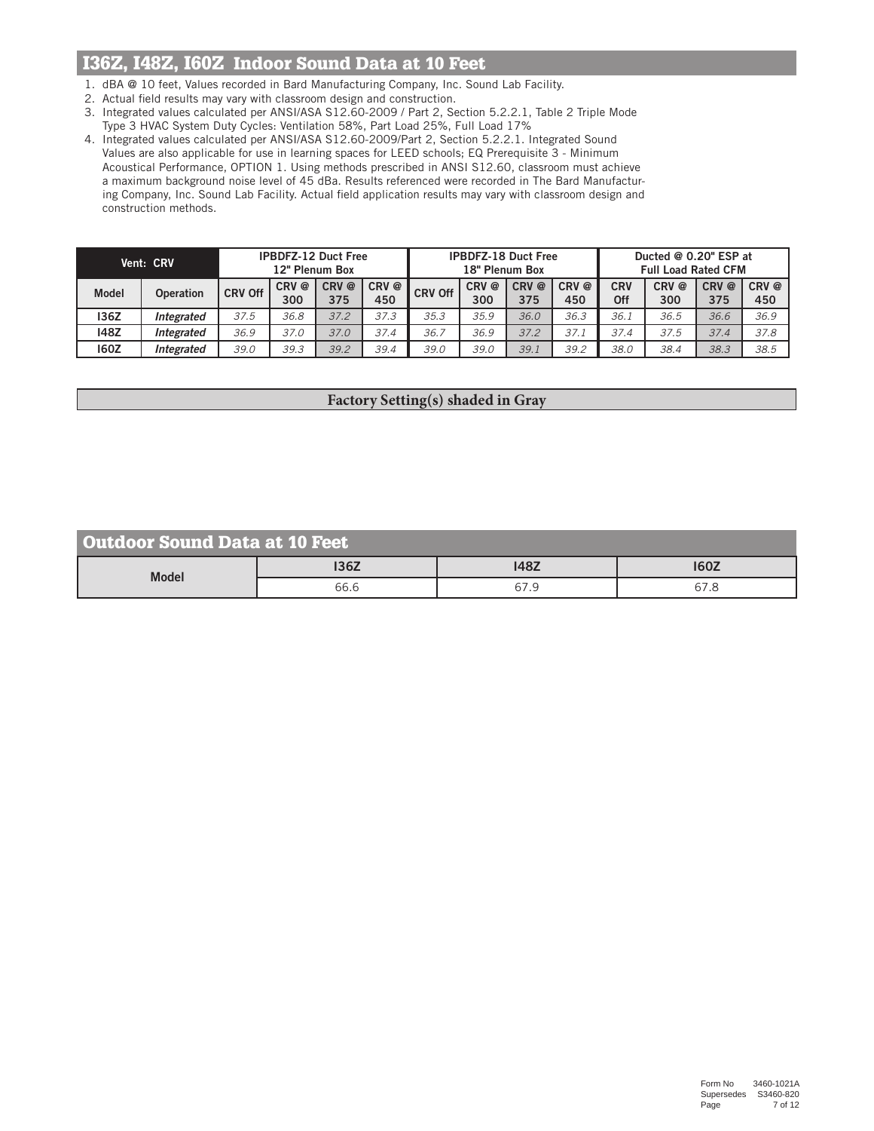# I36Z, I48Z, I60Z Indoor Sound Data at 10 Feet

- 1. dBA @ 10 feet, Values recorded in Bard Manufacturing Company, Inc. Sound Lab Facility.
- 2. Actual field results may vary with classroom design and construction.
- 3. Integrated values calculated per ANSI/ASA S12.60-2009 / Part 2, Section 5.2.2.1, Table 2 Triple Mode Type 3 HVAC System Duty Cycles: Ventilation 58%, Part Load 25%, Full Load 17%
- 4. Integrated values calculated per ANSI/ASA S12.60-2009/Part 2, Section 5.2.2.1. Integrated Sound Values are also applicable for use in learning spaces for LEED schools; EQ Prerequisite 3 - Minimum Acoustical Performance, OPTION 1. Using methods prescribed in ANSI S12.60, classroom must achieve a maximum background noise level of 45 dBa. Results referenced were recorded in The Bard Manufacturing Company, Inc. Sound Lab Facility. Actual field application results may vary with classroom design and construction methods.

| Vent: CRV    |                  | <b>IPBDFZ-12 Duct Free</b><br>12" Plenum Box |             |              | <b>IPBDFZ-18 Duct Free</b><br>18" Plenum Box |                |                         |             | Ducted @ 0.20" ESP at<br><b>Full Load Rated CFM</b> |                   |             |              |                         |
|--------------|------------------|----------------------------------------------|-------------|--------------|----------------------------------------------|----------------|-------------------------|-------------|-----------------------------------------------------|-------------------|-------------|--------------|-------------------------|
| <b>Model</b> | <b>Operation</b> | <b>CRV Off</b>                               | CRV@<br>300 | CRV @<br>375 | CRV @<br>450                                 | <b>CRV Off</b> | CRV <sup>@</sup><br>300 | CRV@<br>375 | CRV@<br>450                                         | <b>CRV</b><br>Off | CRV@<br>300 | CRV @<br>375 | CRV <sup>@</sup><br>450 |
| 136Z         | Integrated       | 37.5                                         | 36.8        | 37.2         | 37.3                                         | 35.3           | 35.9                    | 36.0        | 36.3                                                | 36.1              | 36.5        | 36.6         | 36.9                    |
| 148Z         | Integrated       | 36.9                                         | 37.0        | 37.0         | 37.4                                         | 36.7           | 36.9                    | 37.2        | 37.1                                                | 37.4              | 37.5        | 37.4         | 37.8                    |
| 160Z         | Integrated       | 39.0                                         | 39.3        | 39.2         | 39.4                                         | 39.0           | 39.0                    | 39.1        | 39.2                                                | 38.0              | 38.4        | 38.3         | 38.5                    |

## **Factory Setting(s) shaded in Gray**

| <b>Outdoor Sound Data at 10 Feet</b> |      |             |             |  |  |  |  |  |
|--------------------------------------|------|-------------|-------------|--|--|--|--|--|
| <b>Model</b>                         | 136Z | <b>148Z</b> | <b>160Z</b> |  |  |  |  |  |
|                                      | 66.6 | 67.9        | 67.8        |  |  |  |  |  |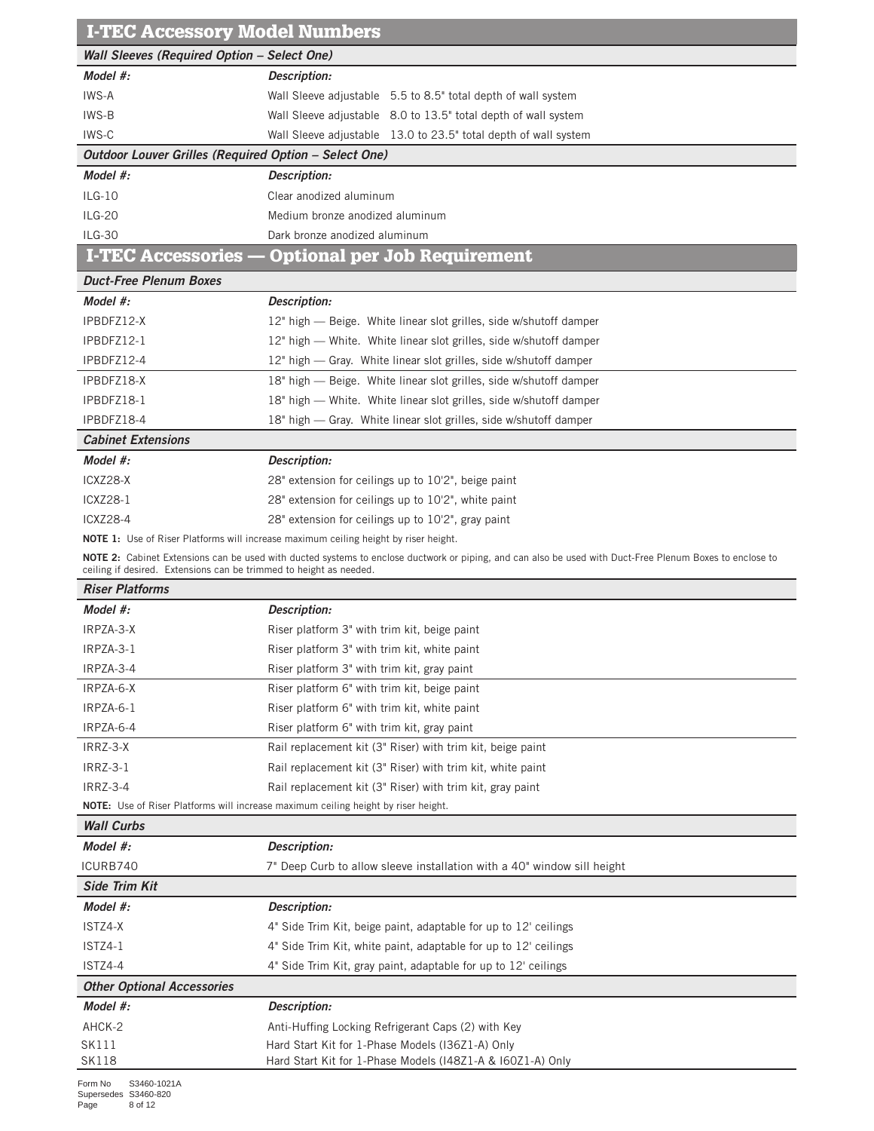| <b>Wall Sleeves (Required Option - Select One)</b><br>Model $#$ :<br>Description:<br>IWS-A<br>Wall Sleeve adjustable 5.5 to 8.5" total depth of wall system<br>IWS-B<br>Wall Sleeve adjustable 8.0 to 13.5" total depth of wall system<br>IWS-C<br>Wall Sleeve adjustable 13.0 to 23.5" total depth of wall system<br>Outdoor Louver Grilles (Required Option - Select One)<br>Model #:<br>Description:<br>$ILG-10$<br>Clear anodized aluminum<br><b>ILG-20</b><br>Medium bronze anodized aluminum<br>$ILG-30$<br>Dark bronze anodized aluminum<br><b>I-TEC Accessories</b><br><b>Optional per Job Requirement</b><br><b>Duct-Free Plenum Boxes</b><br>Model #:<br>Description:<br>IPBDFZ12-X<br>12" high — Beige. White linear slot grilles, side w/shutoff damper<br>IPBDFZ12-1<br>12" high - White. White linear slot grilles, side w/shutoff damper<br>IPBDFZ12-4<br>12" high - Gray. White linear slot grilles, side w/shutoff damper<br>IPBDFZ18-X<br>18" high - Beige. White linear slot grilles, side w/shutoff damper<br>IPBDFZ18-1<br>18" high - White. White linear slot grilles, side w/shutoff damper<br>IPBDFZ18-4<br>18" high - Gray. White linear slot grilles, side w/shutoff damper<br><b>Cabinet Extensions</b><br>Model #:<br>Description:<br>ICXZ28-X<br>28" extension for ceilings up to 10'2", beige paint<br><b>ICXZ28-1</b><br>28" extension for ceilings up to 10'2", white paint<br><b>ICXZ28-4</b><br>28" extension for ceilings up to 10'2", gray paint<br><b>NOTE 1:</b> Use of Riser Platforms will increase maximum ceiling height by riser height.<br>NOTE 2: Cabinet Extensions can be used with ducted systems to enclose ductwork or piping, and can also be used with Duct-Free Plenum Boxes to enclose to<br>ceiling if desired. Extensions can be trimmed to height as needed.<br><b>Riser Platforms</b><br>Model #:<br>Description:<br>IRPZA-3-X<br>Riser platform 3" with trim kit, beige paint<br>IRPZA-3-1<br>Riser platform 3" with trim kit, white paint<br>IRPZA-3-4<br>Riser platform 3" with trim kit, gray paint<br>IRPZA-6-X<br>Riser platform 6" with trim kit, beige paint<br>IRPZA-6-1<br>Riser platform 6" with trim kit, white paint<br>IRPZA-6-4<br>Riser platform 6" with trim kit, gray paint<br>IRRZ-3-X<br>Rail replacement kit (3" Riser) with trim kit, beige paint<br><b>IRRZ-3-1</b><br>Rail replacement kit (3" Riser) with trim kit, white paint<br><b>IRRZ-3-4</b><br>Rail replacement kit (3" Riser) with trim kit, gray paint<br><b>NOTE:</b> Use of Riser Platforms will increase maximum ceiling height by riser height.<br><b>Wall Curbs</b><br>Model #:<br><b>Description:</b><br>ICURB740<br>7" Deep Curb to allow sleeve installation with a 40" window sill height<br><b>Side Trim Kit</b><br>Model #:<br>Description:<br>ISTZ4-X<br>4" Side Trim Kit, beige paint, adaptable for up to 12' ceilings<br>ISTZ4-1<br>4" Side Trim Kit, white paint, adaptable for up to 12' ceilings<br>ISTZ4-4<br>4" Side Trim Kit, gray paint, adaptable for up to 12' ceilings<br><b>Other Optional Accessories</b><br>Model #:<br>Description:<br>AHCK-2<br>Anti-Huffing Locking Refrigerant Caps (2) with Key<br>SK111<br>Hard Start Kit for 1-Phase Models (I36Z1-A) Only<br><b>SK118</b><br>Hard Start Kit for 1-Phase Models (148Z1-A & 160Z1-A) Only | <b>I-TEC Accessory Model Numbers</b> |  |  |  |  |  |  |  |
|-------------------------------------------------------------------------------------------------------------------------------------------------------------------------------------------------------------------------------------------------------------------------------------------------------------------------------------------------------------------------------------------------------------------------------------------------------------------------------------------------------------------------------------------------------------------------------------------------------------------------------------------------------------------------------------------------------------------------------------------------------------------------------------------------------------------------------------------------------------------------------------------------------------------------------------------------------------------------------------------------------------------------------------------------------------------------------------------------------------------------------------------------------------------------------------------------------------------------------------------------------------------------------------------------------------------------------------------------------------------------------------------------------------------------------------------------------------------------------------------------------------------------------------------------------------------------------------------------------------------------------------------------------------------------------------------------------------------------------------------------------------------------------------------------------------------------------------------------------------------------------------------------------------------------------------------------------------------------------------------------------------------------------------------------------------------------------------------------------------------------------------------------------------------------------------------------------------------------------------------------------------------------------------------------------------------------------------------------------------------------------------------------------------------------------------------------------------------------------------------------------------------------------------------------------------------------------------------------------------------------------------------------------------------------------------------------------------------------------------------------------------------------------------------------------------------------------------------------------------------------------------------------------------------------------------------------------------------------------------------------------------------------------------------------------------------------------------------------------------------------------------------------------------------------------------------------------------------------------------------------------------------------------------------------------------------------|--------------------------------------|--|--|--|--|--|--|--|
|                                                                                                                                                                                                                                                                                                                                                                                                                                                                                                                                                                                                                                                                                                                                                                                                                                                                                                                                                                                                                                                                                                                                                                                                                                                                                                                                                                                                                                                                                                                                                                                                                                                                                                                                                                                                                                                                                                                                                                                                                                                                                                                                                                                                                                                                                                                                                                                                                                                                                                                                                                                                                                                                                                                                                                                                                                                                                                                                                                                                                                                                                                                                                                                                                                                                                                                         |                                      |  |  |  |  |  |  |  |
|                                                                                                                                                                                                                                                                                                                                                                                                                                                                                                                                                                                                                                                                                                                                                                                                                                                                                                                                                                                                                                                                                                                                                                                                                                                                                                                                                                                                                                                                                                                                                                                                                                                                                                                                                                                                                                                                                                                                                                                                                                                                                                                                                                                                                                                                                                                                                                                                                                                                                                                                                                                                                                                                                                                                                                                                                                                                                                                                                                                                                                                                                                                                                                                                                                                                                                                         |                                      |  |  |  |  |  |  |  |
|                                                                                                                                                                                                                                                                                                                                                                                                                                                                                                                                                                                                                                                                                                                                                                                                                                                                                                                                                                                                                                                                                                                                                                                                                                                                                                                                                                                                                                                                                                                                                                                                                                                                                                                                                                                                                                                                                                                                                                                                                                                                                                                                                                                                                                                                                                                                                                                                                                                                                                                                                                                                                                                                                                                                                                                                                                                                                                                                                                                                                                                                                                                                                                                                                                                                                                                         |                                      |  |  |  |  |  |  |  |
|                                                                                                                                                                                                                                                                                                                                                                                                                                                                                                                                                                                                                                                                                                                                                                                                                                                                                                                                                                                                                                                                                                                                                                                                                                                                                                                                                                                                                                                                                                                                                                                                                                                                                                                                                                                                                                                                                                                                                                                                                                                                                                                                                                                                                                                                                                                                                                                                                                                                                                                                                                                                                                                                                                                                                                                                                                                                                                                                                                                                                                                                                                                                                                                                                                                                                                                         |                                      |  |  |  |  |  |  |  |
|                                                                                                                                                                                                                                                                                                                                                                                                                                                                                                                                                                                                                                                                                                                                                                                                                                                                                                                                                                                                                                                                                                                                                                                                                                                                                                                                                                                                                                                                                                                                                                                                                                                                                                                                                                                                                                                                                                                                                                                                                                                                                                                                                                                                                                                                                                                                                                                                                                                                                                                                                                                                                                                                                                                                                                                                                                                                                                                                                                                                                                                                                                                                                                                                                                                                                                                         |                                      |  |  |  |  |  |  |  |
|                                                                                                                                                                                                                                                                                                                                                                                                                                                                                                                                                                                                                                                                                                                                                                                                                                                                                                                                                                                                                                                                                                                                                                                                                                                                                                                                                                                                                                                                                                                                                                                                                                                                                                                                                                                                                                                                                                                                                                                                                                                                                                                                                                                                                                                                                                                                                                                                                                                                                                                                                                                                                                                                                                                                                                                                                                                                                                                                                                                                                                                                                                                                                                                                                                                                                                                         |                                      |  |  |  |  |  |  |  |
|                                                                                                                                                                                                                                                                                                                                                                                                                                                                                                                                                                                                                                                                                                                                                                                                                                                                                                                                                                                                                                                                                                                                                                                                                                                                                                                                                                                                                                                                                                                                                                                                                                                                                                                                                                                                                                                                                                                                                                                                                                                                                                                                                                                                                                                                                                                                                                                                                                                                                                                                                                                                                                                                                                                                                                                                                                                                                                                                                                                                                                                                                                                                                                                                                                                                                                                         |                                      |  |  |  |  |  |  |  |
|                                                                                                                                                                                                                                                                                                                                                                                                                                                                                                                                                                                                                                                                                                                                                                                                                                                                                                                                                                                                                                                                                                                                                                                                                                                                                                                                                                                                                                                                                                                                                                                                                                                                                                                                                                                                                                                                                                                                                                                                                                                                                                                                                                                                                                                                                                                                                                                                                                                                                                                                                                                                                                                                                                                                                                                                                                                                                                                                                                                                                                                                                                                                                                                                                                                                                                                         |                                      |  |  |  |  |  |  |  |
|                                                                                                                                                                                                                                                                                                                                                                                                                                                                                                                                                                                                                                                                                                                                                                                                                                                                                                                                                                                                                                                                                                                                                                                                                                                                                                                                                                                                                                                                                                                                                                                                                                                                                                                                                                                                                                                                                                                                                                                                                                                                                                                                                                                                                                                                                                                                                                                                                                                                                                                                                                                                                                                                                                                                                                                                                                                                                                                                                                                                                                                                                                                                                                                                                                                                                                                         |                                      |  |  |  |  |  |  |  |
|                                                                                                                                                                                                                                                                                                                                                                                                                                                                                                                                                                                                                                                                                                                                                                                                                                                                                                                                                                                                                                                                                                                                                                                                                                                                                                                                                                                                                                                                                                                                                                                                                                                                                                                                                                                                                                                                                                                                                                                                                                                                                                                                                                                                                                                                                                                                                                                                                                                                                                                                                                                                                                                                                                                                                                                                                                                                                                                                                                                                                                                                                                                                                                                                                                                                                                                         |                                      |  |  |  |  |  |  |  |
|                                                                                                                                                                                                                                                                                                                                                                                                                                                                                                                                                                                                                                                                                                                                                                                                                                                                                                                                                                                                                                                                                                                                                                                                                                                                                                                                                                                                                                                                                                                                                                                                                                                                                                                                                                                                                                                                                                                                                                                                                                                                                                                                                                                                                                                                                                                                                                                                                                                                                                                                                                                                                                                                                                                                                                                                                                                                                                                                                                                                                                                                                                                                                                                                                                                                                                                         |                                      |  |  |  |  |  |  |  |
|                                                                                                                                                                                                                                                                                                                                                                                                                                                                                                                                                                                                                                                                                                                                                                                                                                                                                                                                                                                                                                                                                                                                                                                                                                                                                                                                                                                                                                                                                                                                                                                                                                                                                                                                                                                                                                                                                                                                                                                                                                                                                                                                                                                                                                                                                                                                                                                                                                                                                                                                                                                                                                                                                                                                                                                                                                                                                                                                                                                                                                                                                                                                                                                                                                                                                                                         |                                      |  |  |  |  |  |  |  |
|                                                                                                                                                                                                                                                                                                                                                                                                                                                                                                                                                                                                                                                                                                                                                                                                                                                                                                                                                                                                                                                                                                                                                                                                                                                                                                                                                                                                                                                                                                                                                                                                                                                                                                                                                                                                                                                                                                                                                                                                                                                                                                                                                                                                                                                                                                                                                                                                                                                                                                                                                                                                                                                                                                                                                                                                                                                                                                                                                                                                                                                                                                                                                                                                                                                                                                                         |                                      |  |  |  |  |  |  |  |
|                                                                                                                                                                                                                                                                                                                                                                                                                                                                                                                                                                                                                                                                                                                                                                                                                                                                                                                                                                                                                                                                                                                                                                                                                                                                                                                                                                                                                                                                                                                                                                                                                                                                                                                                                                                                                                                                                                                                                                                                                                                                                                                                                                                                                                                                                                                                                                                                                                                                                                                                                                                                                                                                                                                                                                                                                                                                                                                                                                                                                                                                                                                                                                                                                                                                                                                         |                                      |  |  |  |  |  |  |  |
|                                                                                                                                                                                                                                                                                                                                                                                                                                                                                                                                                                                                                                                                                                                                                                                                                                                                                                                                                                                                                                                                                                                                                                                                                                                                                                                                                                                                                                                                                                                                                                                                                                                                                                                                                                                                                                                                                                                                                                                                                                                                                                                                                                                                                                                                                                                                                                                                                                                                                                                                                                                                                                                                                                                                                                                                                                                                                                                                                                                                                                                                                                                                                                                                                                                                                                                         |                                      |  |  |  |  |  |  |  |
|                                                                                                                                                                                                                                                                                                                                                                                                                                                                                                                                                                                                                                                                                                                                                                                                                                                                                                                                                                                                                                                                                                                                                                                                                                                                                                                                                                                                                                                                                                                                                                                                                                                                                                                                                                                                                                                                                                                                                                                                                                                                                                                                                                                                                                                                                                                                                                                                                                                                                                                                                                                                                                                                                                                                                                                                                                                                                                                                                                                                                                                                                                                                                                                                                                                                                                                         |                                      |  |  |  |  |  |  |  |
|                                                                                                                                                                                                                                                                                                                                                                                                                                                                                                                                                                                                                                                                                                                                                                                                                                                                                                                                                                                                                                                                                                                                                                                                                                                                                                                                                                                                                                                                                                                                                                                                                                                                                                                                                                                                                                                                                                                                                                                                                                                                                                                                                                                                                                                                                                                                                                                                                                                                                                                                                                                                                                                                                                                                                                                                                                                                                                                                                                                                                                                                                                                                                                                                                                                                                                                         |                                      |  |  |  |  |  |  |  |
|                                                                                                                                                                                                                                                                                                                                                                                                                                                                                                                                                                                                                                                                                                                                                                                                                                                                                                                                                                                                                                                                                                                                                                                                                                                                                                                                                                                                                                                                                                                                                                                                                                                                                                                                                                                                                                                                                                                                                                                                                                                                                                                                                                                                                                                                                                                                                                                                                                                                                                                                                                                                                                                                                                                                                                                                                                                                                                                                                                                                                                                                                                                                                                                                                                                                                                                         |                                      |  |  |  |  |  |  |  |
|                                                                                                                                                                                                                                                                                                                                                                                                                                                                                                                                                                                                                                                                                                                                                                                                                                                                                                                                                                                                                                                                                                                                                                                                                                                                                                                                                                                                                                                                                                                                                                                                                                                                                                                                                                                                                                                                                                                                                                                                                                                                                                                                                                                                                                                                                                                                                                                                                                                                                                                                                                                                                                                                                                                                                                                                                                                                                                                                                                                                                                                                                                                                                                                                                                                                                                                         |                                      |  |  |  |  |  |  |  |
|                                                                                                                                                                                                                                                                                                                                                                                                                                                                                                                                                                                                                                                                                                                                                                                                                                                                                                                                                                                                                                                                                                                                                                                                                                                                                                                                                                                                                                                                                                                                                                                                                                                                                                                                                                                                                                                                                                                                                                                                                                                                                                                                                                                                                                                                                                                                                                                                                                                                                                                                                                                                                                                                                                                                                                                                                                                                                                                                                                                                                                                                                                                                                                                                                                                                                                                         |                                      |  |  |  |  |  |  |  |
|                                                                                                                                                                                                                                                                                                                                                                                                                                                                                                                                                                                                                                                                                                                                                                                                                                                                                                                                                                                                                                                                                                                                                                                                                                                                                                                                                                                                                                                                                                                                                                                                                                                                                                                                                                                                                                                                                                                                                                                                                                                                                                                                                                                                                                                                                                                                                                                                                                                                                                                                                                                                                                                                                                                                                                                                                                                                                                                                                                                                                                                                                                                                                                                                                                                                                                                         |                                      |  |  |  |  |  |  |  |
|                                                                                                                                                                                                                                                                                                                                                                                                                                                                                                                                                                                                                                                                                                                                                                                                                                                                                                                                                                                                                                                                                                                                                                                                                                                                                                                                                                                                                                                                                                                                                                                                                                                                                                                                                                                                                                                                                                                                                                                                                                                                                                                                                                                                                                                                                                                                                                                                                                                                                                                                                                                                                                                                                                                                                                                                                                                                                                                                                                                                                                                                                                                                                                                                                                                                                                                         |                                      |  |  |  |  |  |  |  |
|                                                                                                                                                                                                                                                                                                                                                                                                                                                                                                                                                                                                                                                                                                                                                                                                                                                                                                                                                                                                                                                                                                                                                                                                                                                                                                                                                                                                                                                                                                                                                                                                                                                                                                                                                                                                                                                                                                                                                                                                                                                                                                                                                                                                                                                                                                                                                                                                                                                                                                                                                                                                                                                                                                                                                                                                                                                                                                                                                                                                                                                                                                                                                                                                                                                                                                                         |                                      |  |  |  |  |  |  |  |
|                                                                                                                                                                                                                                                                                                                                                                                                                                                                                                                                                                                                                                                                                                                                                                                                                                                                                                                                                                                                                                                                                                                                                                                                                                                                                                                                                                                                                                                                                                                                                                                                                                                                                                                                                                                                                                                                                                                                                                                                                                                                                                                                                                                                                                                                                                                                                                                                                                                                                                                                                                                                                                                                                                                                                                                                                                                                                                                                                                                                                                                                                                                                                                                                                                                                                                                         |                                      |  |  |  |  |  |  |  |
|                                                                                                                                                                                                                                                                                                                                                                                                                                                                                                                                                                                                                                                                                                                                                                                                                                                                                                                                                                                                                                                                                                                                                                                                                                                                                                                                                                                                                                                                                                                                                                                                                                                                                                                                                                                                                                                                                                                                                                                                                                                                                                                                                                                                                                                                                                                                                                                                                                                                                                                                                                                                                                                                                                                                                                                                                                                                                                                                                                                                                                                                                                                                                                                                                                                                                                                         |                                      |  |  |  |  |  |  |  |
|                                                                                                                                                                                                                                                                                                                                                                                                                                                                                                                                                                                                                                                                                                                                                                                                                                                                                                                                                                                                                                                                                                                                                                                                                                                                                                                                                                                                                                                                                                                                                                                                                                                                                                                                                                                                                                                                                                                                                                                                                                                                                                                                                                                                                                                                                                                                                                                                                                                                                                                                                                                                                                                                                                                                                                                                                                                                                                                                                                                                                                                                                                                                                                                                                                                                                                                         |                                      |  |  |  |  |  |  |  |
|                                                                                                                                                                                                                                                                                                                                                                                                                                                                                                                                                                                                                                                                                                                                                                                                                                                                                                                                                                                                                                                                                                                                                                                                                                                                                                                                                                                                                                                                                                                                                                                                                                                                                                                                                                                                                                                                                                                                                                                                                                                                                                                                                                                                                                                                                                                                                                                                                                                                                                                                                                                                                                                                                                                                                                                                                                                                                                                                                                                                                                                                                                                                                                                                                                                                                                                         |                                      |  |  |  |  |  |  |  |
|                                                                                                                                                                                                                                                                                                                                                                                                                                                                                                                                                                                                                                                                                                                                                                                                                                                                                                                                                                                                                                                                                                                                                                                                                                                                                                                                                                                                                                                                                                                                                                                                                                                                                                                                                                                                                                                                                                                                                                                                                                                                                                                                                                                                                                                                                                                                                                                                                                                                                                                                                                                                                                                                                                                                                                                                                                                                                                                                                                                                                                                                                                                                                                                                                                                                                                                         |                                      |  |  |  |  |  |  |  |
|                                                                                                                                                                                                                                                                                                                                                                                                                                                                                                                                                                                                                                                                                                                                                                                                                                                                                                                                                                                                                                                                                                                                                                                                                                                                                                                                                                                                                                                                                                                                                                                                                                                                                                                                                                                                                                                                                                                                                                                                                                                                                                                                                                                                                                                                                                                                                                                                                                                                                                                                                                                                                                                                                                                                                                                                                                                                                                                                                                                                                                                                                                                                                                                                                                                                                                                         |                                      |  |  |  |  |  |  |  |
|                                                                                                                                                                                                                                                                                                                                                                                                                                                                                                                                                                                                                                                                                                                                                                                                                                                                                                                                                                                                                                                                                                                                                                                                                                                                                                                                                                                                                                                                                                                                                                                                                                                                                                                                                                                                                                                                                                                                                                                                                                                                                                                                                                                                                                                                                                                                                                                                                                                                                                                                                                                                                                                                                                                                                                                                                                                                                                                                                                                                                                                                                                                                                                                                                                                                                                                         |                                      |  |  |  |  |  |  |  |
|                                                                                                                                                                                                                                                                                                                                                                                                                                                                                                                                                                                                                                                                                                                                                                                                                                                                                                                                                                                                                                                                                                                                                                                                                                                                                                                                                                                                                                                                                                                                                                                                                                                                                                                                                                                                                                                                                                                                                                                                                                                                                                                                                                                                                                                                                                                                                                                                                                                                                                                                                                                                                                                                                                                                                                                                                                                                                                                                                                                                                                                                                                                                                                                                                                                                                                                         |                                      |  |  |  |  |  |  |  |
|                                                                                                                                                                                                                                                                                                                                                                                                                                                                                                                                                                                                                                                                                                                                                                                                                                                                                                                                                                                                                                                                                                                                                                                                                                                                                                                                                                                                                                                                                                                                                                                                                                                                                                                                                                                                                                                                                                                                                                                                                                                                                                                                                                                                                                                                                                                                                                                                                                                                                                                                                                                                                                                                                                                                                                                                                                                                                                                                                                                                                                                                                                                                                                                                                                                                                                                         |                                      |  |  |  |  |  |  |  |
|                                                                                                                                                                                                                                                                                                                                                                                                                                                                                                                                                                                                                                                                                                                                                                                                                                                                                                                                                                                                                                                                                                                                                                                                                                                                                                                                                                                                                                                                                                                                                                                                                                                                                                                                                                                                                                                                                                                                                                                                                                                                                                                                                                                                                                                                                                                                                                                                                                                                                                                                                                                                                                                                                                                                                                                                                                                                                                                                                                                                                                                                                                                                                                                                                                                                                                                         |                                      |  |  |  |  |  |  |  |
|                                                                                                                                                                                                                                                                                                                                                                                                                                                                                                                                                                                                                                                                                                                                                                                                                                                                                                                                                                                                                                                                                                                                                                                                                                                                                                                                                                                                                                                                                                                                                                                                                                                                                                                                                                                                                                                                                                                                                                                                                                                                                                                                                                                                                                                                                                                                                                                                                                                                                                                                                                                                                                                                                                                                                                                                                                                                                                                                                                                                                                                                                                                                                                                                                                                                                                                         |                                      |  |  |  |  |  |  |  |
|                                                                                                                                                                                                                                                                                                                                                                                                                                                                                                                                                                                                                                                                                                                                                                                                                                                                                                                                                                                                                                                                                                                                                                                                                                                                                                                                                                                                                                                                                                                                                                                                                                                                                                                                                                                                                                                                                                                                                                                                                                                                                                                                                                                                                                                                                                                                                                                                                                                                                                                                                                                                                                                                                                                                                                                                                                                                                                                                                                                                                                                                                                                                                                                                                                                                                                                         |                                      |  |  |  |  |  |  |  |
|                                                                                                                                                                                                                                                                                                                                                                                                                                                                                                                                                                                                                                                                                                                                                                                                                                                                                                                                                                                                                                                                                                                                                                                                                                                                                                                                                                                                                                                                                                                                                                                                                                                                                                                                                                                                                                                                                                                                                                                                                                                                                                                                                                                                                                                                                                                                                                                                                                                                                                                                                                                                                                                                                                                                                                                                                                                                                                                                                                                                                                                                                                                                                                                                                                                                                                                         |                                      |  |  |  |  |  |  |  |
|                                                                                                                                                                                                                                                                                                                                                                                                                                                                                                                                                                                                                                                                                                                                                                                                                                                                                                                                                                                                                                                                                                                                                                                                                                                                                                                                                                                                                                                                                                                                                                                                                                                                                                                                                                                                                                                                                                                                                                                                                                                                                                                                                                                                                                                                                                                                                                                                                                                                                                                                                                                                                                                                                                                                                                                                                                                                                                                                                                                                                                                                                                                                                                                                                                                                                                                         |                                      |  |  |  |  |  |  |  |
|                                                                                                                                                                                                                                                                                                                                                                                                                                                                                                                                                                                                                                                                                                                                                                                                                                                                                                                                                                                                                                                                                                                                                                                                                                                                                                                                                                                                                                                                                                                                                                                                                                                                                                                                                                                                                                                                                                                                                                                                                                                                                                                                                                                                                                                                                                                                                                                                                                                                                                                                                                                                                                                                                                                                                                                                                                                                                                                                                                                                                                                                                                                                                                                                                                                                                                                         |                                      |  |  |  |  |  |  |  |
|                                                                                                                                                                                                                                                                                                                                                                                                                                                                                                                                                                                                                                                                                                                                                                                                                                                                                                                                                                                                                                                                                                                                                                                                                                                                                                                                                                                                                                                                                                                                                                                                                                                                                                                                                                                                                                                                                                                                                                                                                                                                                                                                                                                                                                                                                                                                                                                                                                                                                                                                                                                                                                                                                                                                                                                                                                                                                                                                                                                                                                                                                                                                                                                                                                                                                                                         |                                      |  |  |  |  |  |  |  |
|                                                                                                                                                                                                                                                                                                                                                                                                                                                                                                                                                                                                                                                                                                                                                                                                                                                                                                                                                                                                                                                                                                                                                                                                                                                                                                                                                                                                                                                                                                                                                                                                                                                                                                                                                                                                                                                                                                                                                                                                                                                                                                                                                                                                                                                                                                                                                                                                                                                                                                                                                                                                                                                                                                                                                                                                                                                                                                                                                                                                                                                                                                                                                                                                                                                                                                                         |                                      |  |  |  |  |  |  |  |
|                                                                                                                                                                                                                                                                                                                                                                                                                                                                                                                                                                                                                                                                                                                                                                                                                                                                                                                                                                                                                                                                                                                                                                                                                                                                                                                                                                                                                                                                                                                                                                                                                                                                                                                                                                                                                                                                                                                                                                                                                                                                                                                                                                                                                                                                                                                                                                                                                                                                                                                                                                                                                                                                                                                                                                                                                                                                                                                                                                                                                                                                                                                                                                                                                                                                                                                         |                                      |  |  |  |  |  |  |  |
|                                                                                                                                                                                                                                                                                                                                                                                                                                                                                                                                                                                                                                                                                                                                                                                                                                                                                                                                                                                                                                                                                                                                                                                                                                                                                                                                                                                                                                                                                                                                                                                                                                                                                                                                                                                                                                                                                                                                                                                                                                                                                                                                                                                                                                                                                                                                                                                                                                                                                                                                                                                                                                                                                                                                                                                                                                                                                                                                                                                                                                                                                                                                                                                                                                                                                                                         |                                      |  |  |  |  |  |  |  |
|                                                                                                                                                                                                                                                                                                                                                                                                                                                                                                                                                                                                                                                                                                                                                                                                                                                                                                                                                                                                                                                                                                                                                                                                                                                                                                                                                                                                                                                                                                                                                                                                                                                                                                                                                                                                                                                                                                                                                                                                                                                                                                                                                                                                                                                                                                                                                                                                                                                                                                                                                                                                                                                                                                                                                                                                                                                                                                                                                                                                                                                                                                                                                                                                                                                                                                                         |                                      |  |  |  |  |  |  |  |
|                                                                                                                                                                                                                                                                                                                                                                                                                                                                                                                                                                                                                                                                                                                                                                                                                                                                                                                                                                                                                                                                                                                                                                                                                                                                                                                                                                                                                                                                                                                                                                                                                                                                                                                                                                                                                                                                                                                                                                                                                                                                                                                                                                                                                                                                                                                                                                                                                                                                                                                                                                                                                                                                                                                                                                                                                                                                                                                                                                                                                                                                                                                                                                                                                                                                                                                         |                                      |  |  |  |  |  |  |  |
|                                                                                                                                                                                                                                                                                                                                                                                                                                                                                                                                                                                                                                                                                                                                                                                                                                                                                                                                                                                                                                                                                                                                                                                                                                                                                                                                                                                                                                                                                                                                                                                                                                                                                                                                                                                                                                                                                                                                                                                                                                                                                                                                                                                                                                                                                                                                                                                                                                                                                                                                                                                                                                                                                                                                                                                                                                                                                                                                                                                                                                                                                                                                                                                                                                                                                                                         |                                      |  |  |  |  |  |  |  |
|                                                                                                                                                                                                                                                                                                                                                                                                                                                                                                                                                                                                                                                                                                                                                                                                                                                                                                                                                                                                                                                                                                                                                                                                                                                                                                                                                                                                                                                                                                                                                                                                                                                                                                                                                                                                                                                                                                                                                                                                                                                                                                                                                                                                                                                                                                                                                                                                                                                                                                                                                                                                                                                                                                                                                                                                                                                                                                                                                                                                                                                                                                                                                                                                                                                                                                                         |                                      |  |  |  |  |  |  |  |
|                                                                                                                                                                                                                                                                                                                                                                                                                                                                                                                                                                                                                                                                                                                                                                                                                                                                                                                                                                                                                                                                                                                                                                                                                                                                                                                                                                                                                                                                                                                                                                                                                                                                                                                                                                                                                                                                                                                                                                                                                                                                                                                                                                                                                                                                                                                                                                                                                                                                                                                                                                                                                                                                                                                                                                                                                                                                                                                                                                                                                                                                                                                                                                                                                                                                                                                         |                                      |  |  |  |  |  |  |  |
|                                                                                                                                                                                                                                                                                                                                                                                                                                                                                                                                                                                                                                                                                                                                                                                                                                                                                                                                                                                                                                                                                                                                                                                                                                                                                                                                                                                                                                                                                                                                                                                                                                                                                                                                                                                                                                                                                                                                                                                                                                                                                                                                                                                                                                                                                                                                                                                                                                                                                                                                                                                                                                                                                                                                                                                                                                                                                                                                                                                                                                                                                                                                                                                                                                                                                                                         |                                      |  |  |  |  |  |  |  |
|                                                                                                                                                                                                                                                                                                                                                                                                                                                                                                                                                                                                                                                                                                                                                                                                                                                                                                                                                                                                                                                                                                                                                                                                                                                                                                                                                                                                                                                                                                                                                                                                                                                                                                                                                                                                                                                                                                                                                                                                                                                                                                                                                                                                                                                                                                                                                                                                                                                                                                                                                                                                                                                                                                                                                                                                                                                                                                                                                                                                                                                                                                                                                                                                                                                                                                                         |                                      |  |  |  |  |  |  |  |
|                                                                                                                                                                                                                                                                                                                                                                                                                                                                                                                                                                                                                                                                                                                                                                                                                                                                                                                                                                                                                                                                                                                                                                                                                                                                                                                                                                                                                                                                                                                                                                                                                                                                                                                                                                                                                                                                                                                                                                                                                                                                                                                                                                                                                                                                                                                                                                                                                                                                                                                                                                                                                                                                                                                                                                                                                                                                                                                                                                                                                                                                                                                                                                                                                                                                                                                         |                                      |  |  |  |  |  |  |  |
| S3460-1021A                                                                                                                                                                                                                                                                                                                                                                                                                                                                                                                                                                                                                                                                                                                                                                                                                                                                                                                                                                                                                                                                                                                                                                                                                                                                                                                                                                                                                                                                                                                                                                                                                                                                                                                                                                                                                                                                                                                                                                                                                                                                                                                                                                                                                                                                                                                                                                                                                                                                                                                                                                                                                                                                                                                                                                                                                                                                                                                                                                                                                                                                                                                                                                                                                                                                                                             | Form No                              |  |  |  |  |  |  |  |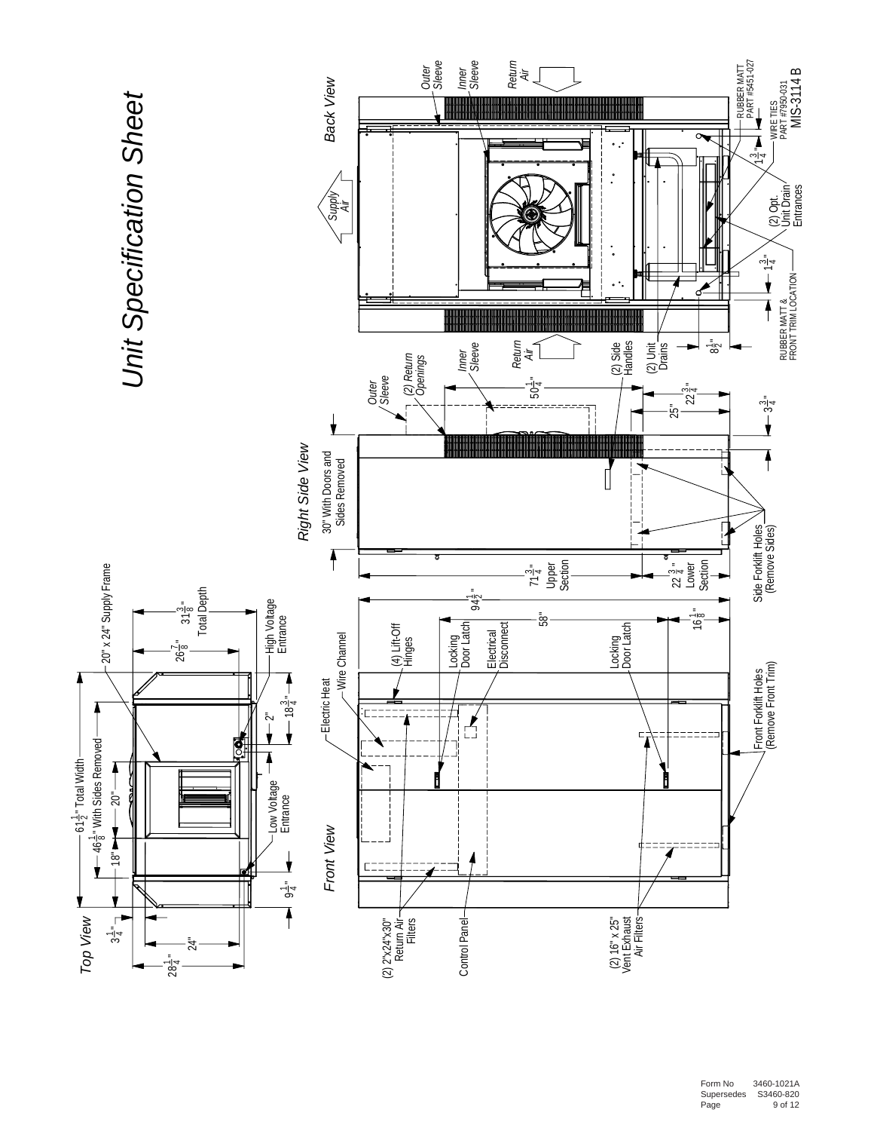

Form No 3460-1021 A 0 Supersedes S3460-82 Page 9 of 12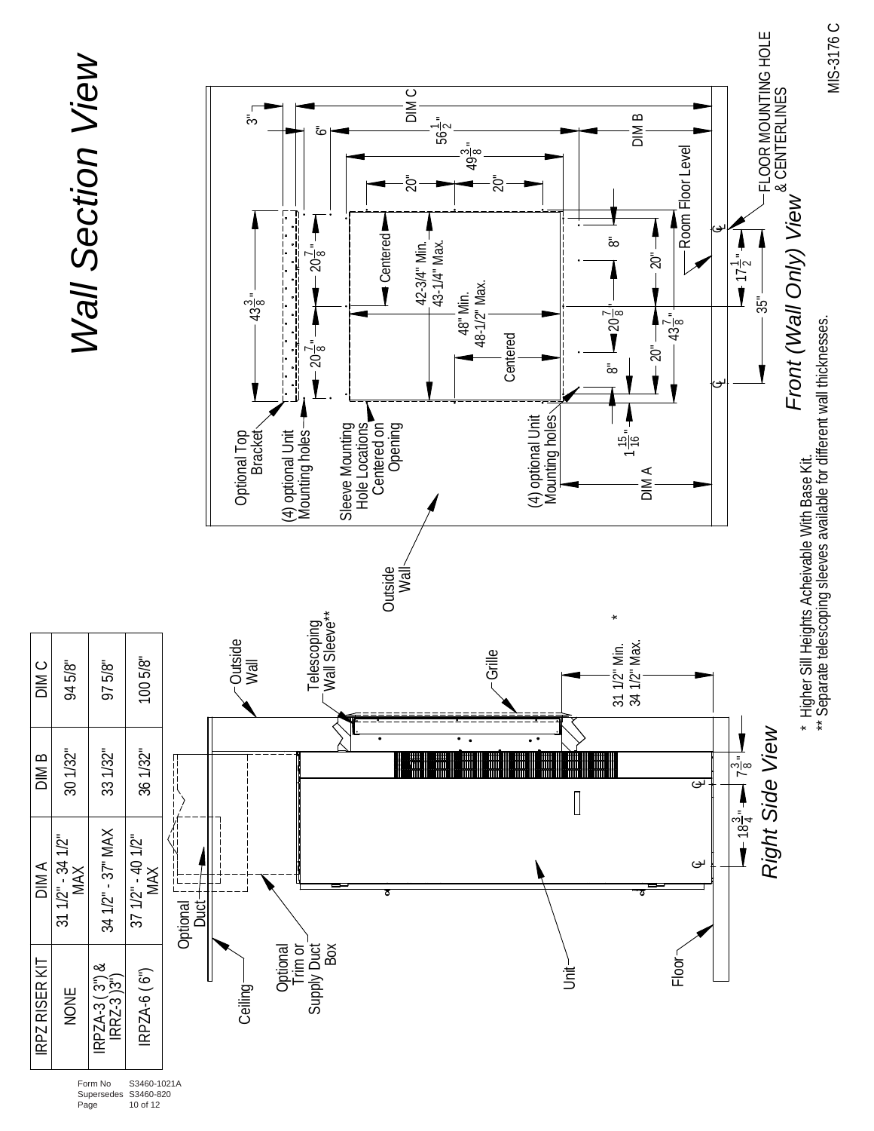

Supersedes S3460-820 Page 10 of 12

MIS-3176 C MIS-3176 C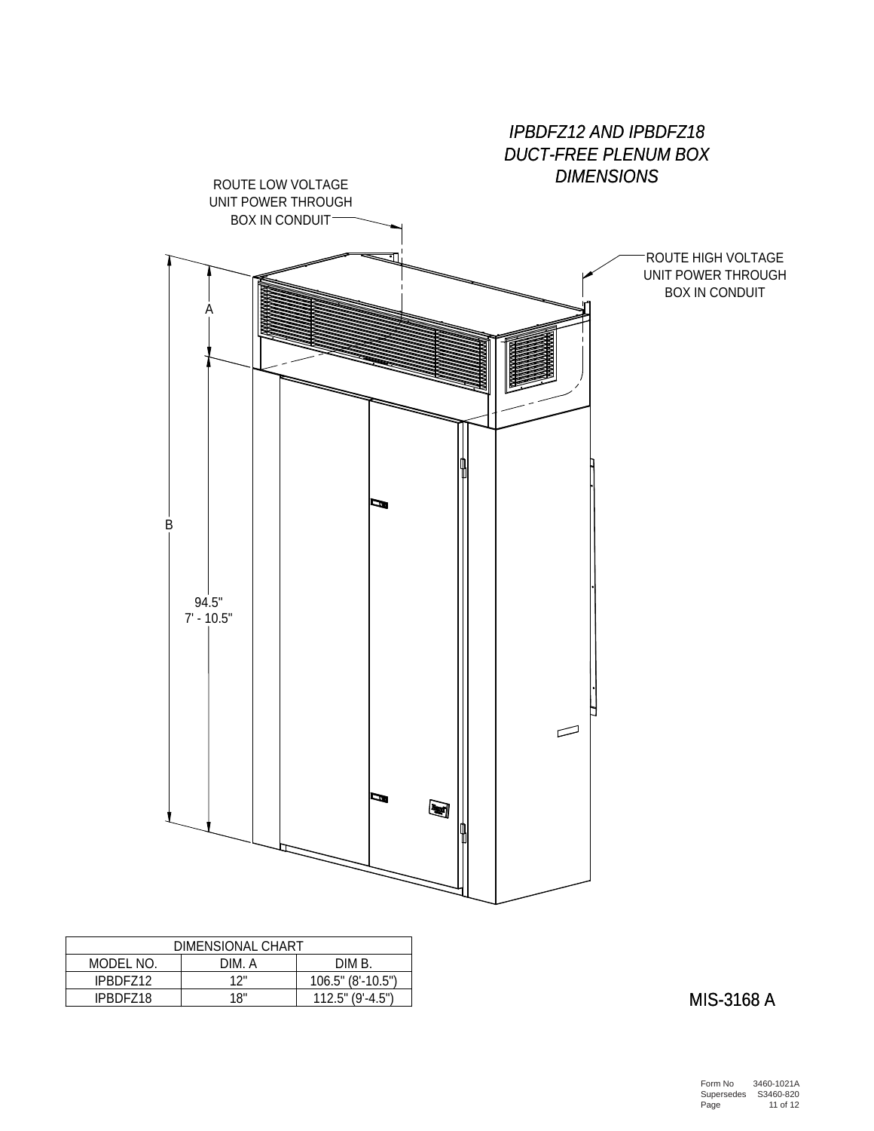

| DIMENSIONAL CHART           |     |                     |  |  |  |  |  |
|-----------------------------|-----|---------------------|--|--|--|--|--|
| MODEL NO.<br>DIM B<br>DIM A |     |                     |  |  |  |  |  |
| IPBDF712                    | 17" | 106.5" (8'-10.5")   |  |  |  |  |  |
| IPBDF718                    | 18" | $112.5$ " (9'-4.5") |  |  |  |  |  |

MIS-3168 A